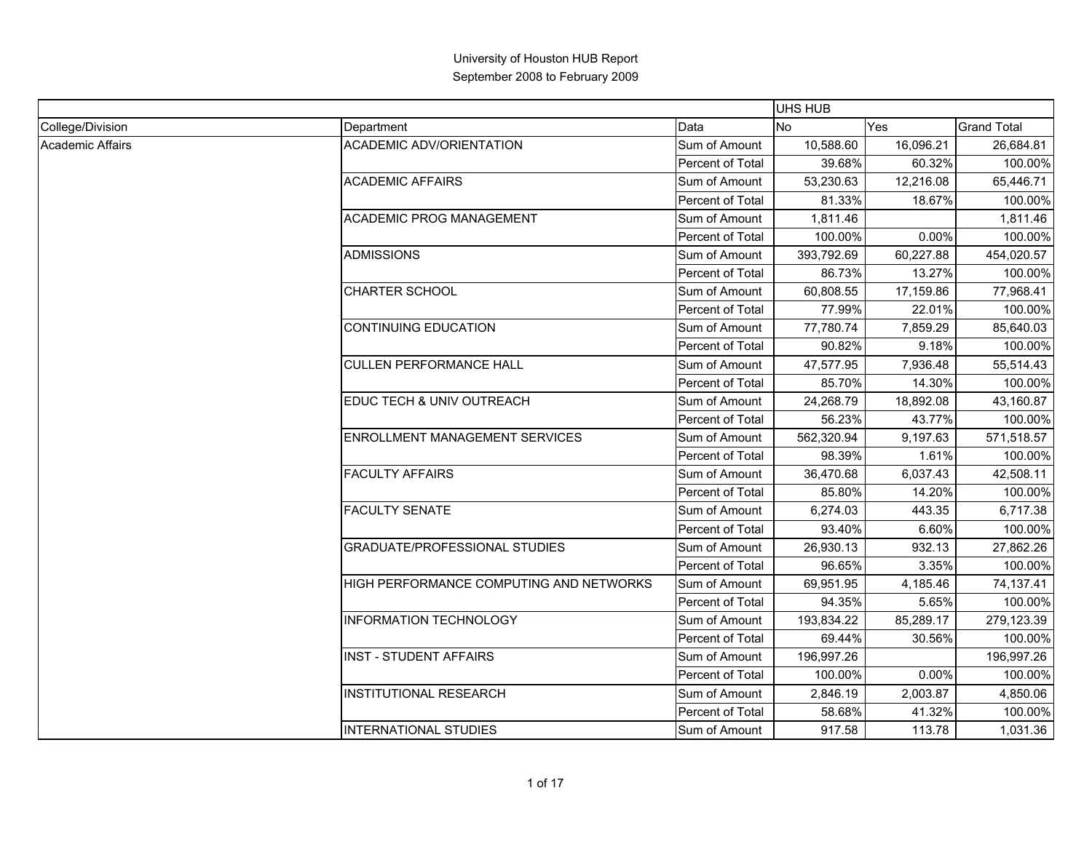|                  |                                         |                  | UHS HUB    |           |                    |
|------------------|-----------------------------------------|------------------|------------|-----------|--------------------|
| College/Division | Department                              | Data             | <b>No</b>  | Yes       | <b>Grand Total</b> |
| Academic Affairs | <b>ACADEMIC ADV/ORIENTATION</b>         | Sum of Amount    | 10,588.60  | 16,096.21 | 26,684.81          |
|                  |                                         | Percent of Total | 39.68%     | 60.32%    | 100.00%            |
|                  | <b>ACADEMIC AFFAIRS</b>                 | Sum of Amount    | 53,230.63  | 12,216.08 | 65,446.71          |
|                  |                                         | Percent of Total | 81.33%     | 18.67%    | 100.00%            |
|                  | ACADEMIC PROG MANAGEMENT                | Sum of Amount    | 1,811.46   |           | 1,811.46           |
|                  |                                         | Percent of Total | 100.00%    | 0.00%     | 100.00%            |
|                  | <b>ADMISSIONS</b>                       | Sum of Amount    | 393,792.69 | 60,227.88 | 454,020.57         |
|                  |                                         | Percent of Total | 86.73%     | 13.27%    | 100.00%            |
|                  | <b>CHARTER SCHOOL</b>                   | Sum of Amount    | 60,808.55  | 17,159.86 | 77,968.41          |
|                  |                                         | Percent of Total | 77.99%     | 22.01%    | 100.00%            |
|                  | <b>CONTINUING EDUCATION</b>             | Sum of Amount    | 77,780.74  | 7,859.29  | 85,640.03          |
|                  |                                         | Percent of Total | 90.82%     | 9.18%     | 100.00%            |
|                  | <b>CULLEN PERFORMANCE HALL</b>          | Sum of Amount    | 47,577.95  | 7,936.48  | 55,514.43          |
|                  |                                         | Percent of Total | 85.70%     | 14.30%    | 100.00%            |
|                  | EDUC TECH & UNIV OUTREACH               | Sum of Amount    | 24,268.79  | 18,892.08 | 43,160.87          |
|                  |                                         | Percent of Total | 56.23%     | 43.77%    | 100.00%            |
|                  | <b>ENROLLMENT MANAGEMENT SERVICES</b>   | Sum of Amount    | 562,320.94 | 9,197.63  | 571,518.57         |
|                  |                                         | Percent of Total | 98.39%     | 1.61%     | 100.00%            |
|                  | <b>FACULTY AFFAIRS</b>                  | Sum of Amount    | 36,470.68  | 6,037.43  | 42,508.11          |
|                  |                                         | Percent of Total | 85.80%     | 14.20%    | 100.00%            |
|                  | <b>FACULTY SENATE</b>                   | Sum of Amount    | 6,274.03   | 443.35    | 6,717.38           |
|                  |                                         | Percent of Total | 93.40%     | 6.60%     | 100.00%            |
|                  | <b>GRADUATE/PROFESSIONAL STUDIES</b>    | Sum of Amount    | 26,930.13  | 932.13    | 27,862.26          |
|                  |                                         | Percent of Total | 96.65%     | 3.35%     | 100.00%            |
|                  | HIGH PERFORMANCE COMPUTING AND NETWORKS | Sum of Amount    | 69,951.95  | 4,185.46  | 74,137.41          |
|                  |                                         | Percent of Total | 94.35%     | 5.65%     | 100.00%            |
|                  | <b>INFORMATION TECHNOLOGY</b>           | Sum of Amount    | 193,834.22 | 85,289.17 | 279,123.39         |
|                  |                                         | Percent of Total | 69.44%     | 30.56%    | 100.00%            |
|                  | <b>INST - STUDENT AFFAIRS</b>           | Sum of Amount    | 196,997.26 |           | 196,997.26         |
|                  |                                         | Percent of Total | 100.00%    | 0.00%     | 100.00%            |
|                  | <b>INSTITUTIONAL RESEARCH</b>           | Sum of Amount    | 2,846.19   | 2,003.87  | 4,850.06           |
|                  |                                         | Percent of Total | 58.68%     | 41.32%    | 100.00%            |
|                  | <b>INTERNATIONAL STUDIES</b>            | Sum of Amount    | 917.58     | 113.78    | 1,031.36           |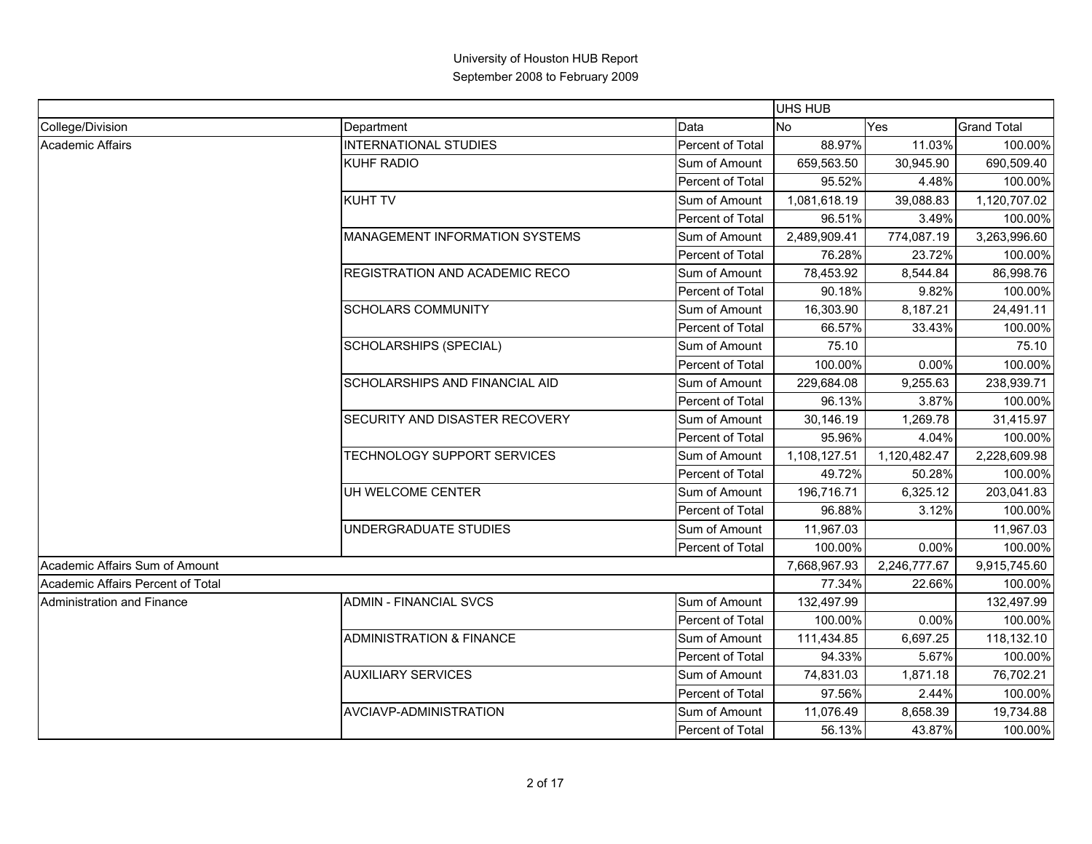|                                   |                                     |                  | UHS HUB      |              |                    |
|-----------------------------------|-------------------------------------|------------------|--------------|--------------|--------------------|
| College/Division                  | Department                          | Data             | <b>No</b>    | Yes          | <b>Grand Total</b> |
| <b>Academic Affairs</b>           | <b>INTERNATIONAL STUDIES</b>        | Percent of Total | 88.97%       | 11.03%       | 100.00%            |
|                                   | <b>KUHF RADIO</b>                   | Sum of Amount    | 659,563.50   | 30,945.90    | 690,509.40         |
|                                   |                                     | Percent of Total | 95.52%       | 4.48%        | 100.00%            |
|                                   | <b>KUHT TV</b>                      | Sum of Amount    | 1,081,618.19 | 39,088.83    | 1,120,707.02       |
|                                   |                                     | Percent of Total | 96.51%       | 3.49%        | 100.00%            |
|                                   | MANAGEMENT INFORMATION SYSTEMS      | Sum of Amount    | 2,489,909.41 | 774,087.19   | 3,263,996.60       |
|                                   |                                     | Percent of Total | 76.28%       | 23.72%       | 100.00%            |
|                                   | REGISTRATION AND ACADEMIC RECO      | Sum of Amount    | 78,453.92    | 8,544.84     | 86,998.76          |
|                                   |                                     | Percent of Total | 90.18%       | 9.82%        | 100.00%            |
|                                   | <b>SCHOLARS COMMUNITY</b>           | Sum of Amount    | 16,303.90    | 8,187.21     | 24,491.11          |
|                                   |                                     | Percent of Total | 66.57%       | 33.43%       | 100.00%            |
|                                   | SCHOLARSHIPS (SPECIAL)              | Sum of Amount    | 75.10        |              | 75.10              |
|                                   |                                     | Percent of Total | 100.00%      | 0.00%        | 100.00%            |
|                                   | SCHOLARSHIPS AND FINANCIAL AID      | Sum of Amount    | 229,684.08   | 9,255.63     | 238,939.71         |
|                                   |                                     | Percent of Total | 96.13%       | 3.87%        | 100.00%            |
|                                   | SECURITY AND DISASTER RECOVERY      | Sum of Amount    | 30,146.19    | 1,269.78     | 31,415.97          |
|                                   |                                     | Percent of Total | 95.96%       | 4.04%        | 100.00%            |
|                                   | TECHNOLOGY SUPPORT SERVICES         | Sum of Amount    | 1,108,127.51 | 1,120,482.47 | 2,228,609.98       |
|                                   |                                     | Percent of Total | 49.72%       | 50.28%       | 100.00%            |
|                                   | UH WELCOME CENTER                   | Sum of Amount    | 196,716.71   | 6,325.12     | 203,041.83         |
|                                   |                                     | Percent of Total | 96.88%       | 3.12%        | 100.00%            |
|                                   | UNDERGRADUATE STUDIES               | Sum of Amount    | 11,967.03    |              | 11,967.03          |
|                                   |                                     | Percent of Total | 100.00%      | 0.00%        | 100.00%            |
| Academic Affairs Sum of Amount    |                                     |                  | 7,668,967.93 | 2,246,777.67 | 9,915,745.60       |
| Academic Affairs Percent of Total |                                     |                  | 77.34%       | 22.66%       | 100.00%            |
| Administration and Finance        | <b>ADMIN - FINANCIAL SVCS</b>       | Sum of Amount    | 132,497.99   |              | 132,497.99         |
|                                   |                                     | Percent of Total | 100.00%      | 0.00%        | 100.00%            |
|                                   | <b>ADMINISTRATION &amp; FINANCE</b> | Sum of Amount    | 111,434.85   | 6,697.25     | 118,132.10         |
|                                   |                                     | Percent of Total | 94.33%       | 5.67%        | 100.00%            |
|                                   | <b>AUXILIARY SERVICES</b>           | Sum of Amount    | 74,831.03    | 1,871.18     | 76,702.21          |
|                                   |                                     | Percent of Total | 97.56%       | 2.44%        | 100.00%            |
|                                   | AVCIAVP-ADMINISTRATION              | Sum of Amount    | 11,076.49    | 8,658.39     | 19,734.88          |
|                                   |                                     | Percent of Total | 56.13%       | 43.87%       | 100.00%            |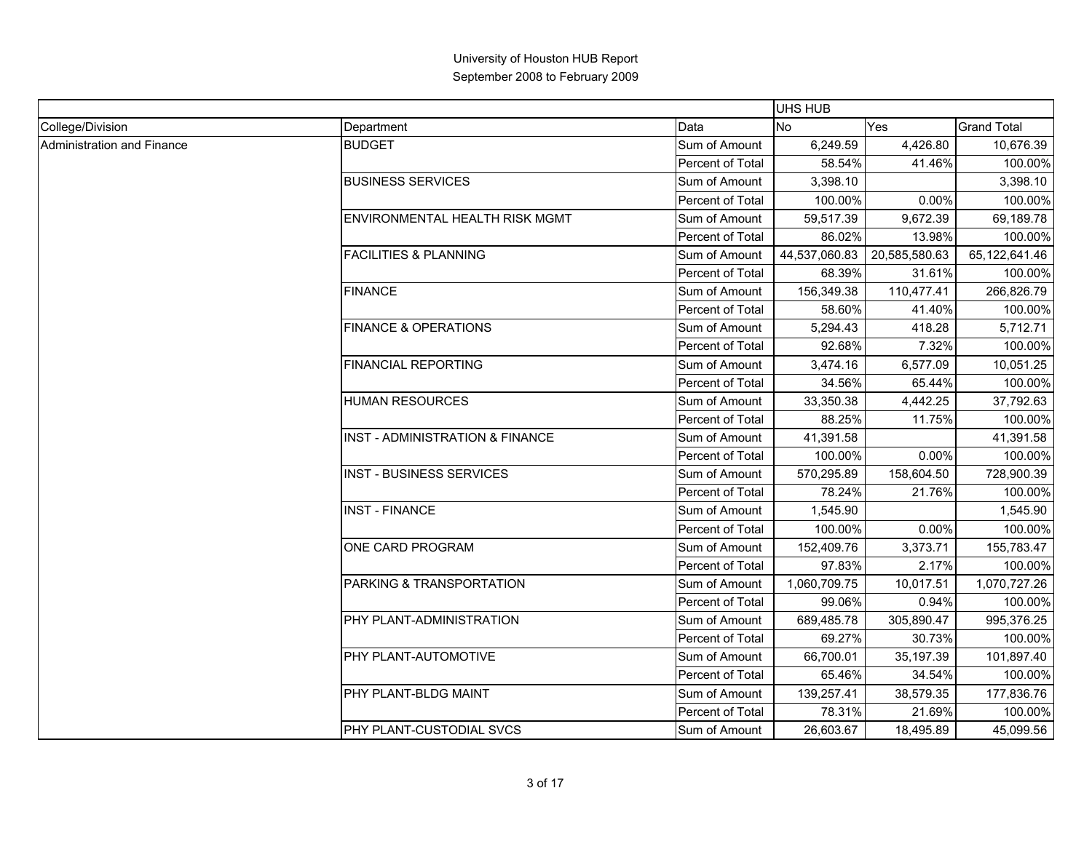|                            |                                       |                         | <b>UHS HUB</b> |               |                    |
|----------------------------|---------------------------------------|-------------------------|----------------|---------------|--------------------|
| College/Division           | Department                            | Data                    | <b>No</b>      | Yes           | <b>Grand Total</b> |
| Administration and Finance | <b>BUDGET</b>                         | Sum of Amount           | 6,249.59       | 4.426.80      | 10,676.39          |
|                            |                                       | Percent of Total        | 58.54%         | 41.46%        | 100.00%            |
|                            | <b>BUSINESS SERVICES</b>              | Sum of Amount           | 3,398.10       |               | 3,398.10           |
|                            |                                       | Percent of Total        | 100.00%        | 0.00%         | 100.00%            |
|                            | <b>ENVIRONMENTAL HEALTH RISK MGMT</b> | Sum of Amount           | 59,517.39      | 9,672.39      | 69,189.78          |
|                            |                                       | Percent of Total        | 86.02%         | 13.98%        | 100.00%            |
|                            | <b>FACILITIES &amp; PLANNING</b>      | Sum of Amount           | 44,537,060.83  | 20,585,580.63 | 65,122,641.46      |
|                            |                                       | Percent of Total        | 68.39%         | 31.61%        | 100.00%            |
|                            | <b>FINANCE</b>                        | Sum of Amount           | 156,349.38     | 110,477.41    | 266,826.79         |
|                            |                                       | Percent of Total        | 58.60%         | 41.40%        | 100.00%            |
|                            | <b>FINANCE &amp; OPERATIONS</b>       | Sum of Amount           | 5,294.43       | 418.28        | 5,712.71           |
|                            |                                       | <b>Percent of Total</b> | 92.68%         | 7.32%         | 100.00%            |
|                            | <b>FINANCIAL REPORTING</b>            | Sum of Amount           | 3,474.16       | 6,577.09      | 10,051.25          |
|                            |                                       | Percent of Total        | 34.56%         | 65.44%        | 100.00%            |
|                            | <b>HUMAN RESOURCES</b>                | Sum of Amount           | 33,350.38      | 4,442.25      | 37,792.63          |
|                            |                                       | Percent of Total        | 88.25%         | 11.75%        | 100.00%            |
|                            | INST - ADMINISTRATION & FINANCE       | Sum of Amount           | 41,391.58      |               | 41,391.58          |
|                            |                                       | Percent of Total        | 100.00%        | 0.00%         | 100.00%            |
|                            | <b>INST - BUSINESS SERVICES</b>       | Sum of Amount           | 570,295.89     | 158,604.50    | 728,900.39         |
|                            |                                       | <b>Percent of Total</b> | 78.24%         | 21.76%        | 100.00%            |
|                            | <b>INST - FINANCE</b>                 | Sum of Amount           | 1,545.90       |               | 1,545.90           |
|                            |                                       | Percent of Total        | 100.00%        | 0.00%         | 100.00%            |
|                            | ONE CARD PROGRAM                      | Sum of Amount           | 152,409.76     | 3,373.71      | 155,783.47         |
|                            |                                       | Percent of Total        | 97.83%         | 2.17%         | 100.00%            |
|                            | PARKING & TRANSPORTATION              | Sum of Amount           | 1,060,709.75   | 10,017.51     | 1,070,727.26       |
|                            |                                       | Percent of Total        | 99.06%         | 0.94%         | 100.00%            |
|                            | PHY PLANT-ADMINISTRATION              | Sum of Amount           | 689,485.78     | 305,890.47    | 995,376.25         |
|                            |                                       | <b>Percent of Total</b> | 69.27%         | 30.73%        | 100.00%            |
|                            | PHY PLANT-AUTOMOTIVE                  | Sum of Amount           | 66,700.01      | 35,197.39     | 101,897.40         |
|                            |                                       | Percent of Total        | 65.46%         | 34.54%        | 100.00%            |
|                            | PHY PLANT-BLDG MAINT                  | Sum of Amount           | 139,257.41     | 38,579.35     | 177,836.76         |
|                            |                                       | Percent of Total        | 78.31%         | 21.69%        | 100.00%            |
|                            | PHY PLANT-CUSTODIAL SVCS              | Sum of Amount           | 26,603.67      | 18,495.89     | 45,099.56          |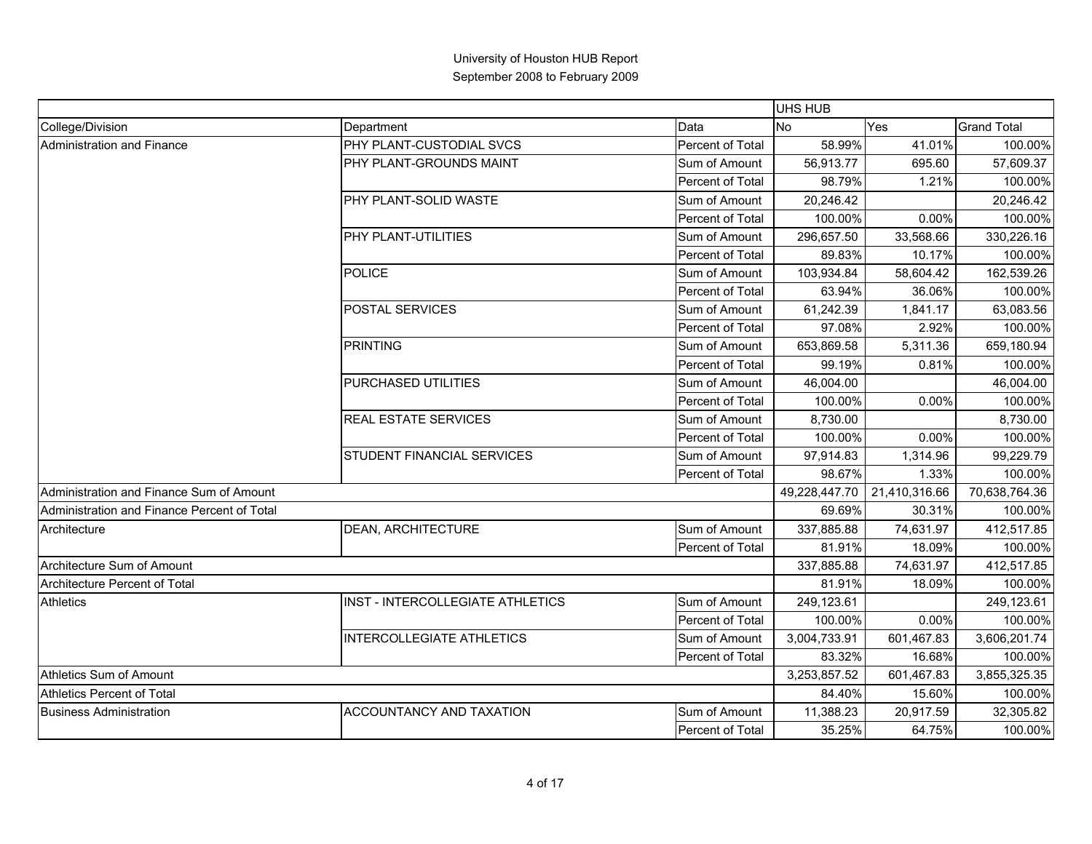|                                             |                                   |                  | UHS HUB      |                             |                    |
|---------------------------------------------|-----------------------------------|------------------|--------------|-----------------------------|--------------------|
| College/Division                            | Department                        | Data             | <b>No</b>    | Yes                         | <b>Grand Total</b> |
| Administration and Finance                  | PHY PLANT-CUSTODIAL SVCS          | Percent of Total | 58.99%       | 41.01%                      | 100.00%            |
|                                             | PHY PLANT-GROUNDS MAINT           | Sum of Amount    | 56,913.77    | 695.60                      | 57,609.37          |
|                                             |                                   | Percent of Total | 98.79%       | 1.21%                       | 100.00%            |
|                                             | PHY PLANT-SOLID WASTE             | Sum of Amount    | 20,246.42    |                             | 20,246.42          |
|                                             |                                   | Percent of Total | 100.00%      | 0.00%                       | 100.00%            |
|                                             | PHY PLANT-UTILITIES               | Sum of Amount    | 296,657.50   | 33,568.66                   | 330,226.16         |
|                                             |                                   | Percent of Total | 89.83%       | 10.17%                      | 100.00%            |
|                                             | <b>POLICE</b>                     | Sum of Amount    | 103,934.84   | 58,604.42                   | 162,539.26         |
|                                             |                                   | Percent of Total | 63.94%       | 36.06%                      | 100.00%            |
|                                             | POSTAL SERVICES                   | Sum of Amount    | 61,242.39    | 1,841.17                    | 63,083.56          |
|                                             |                                   | Percent of Total | 97.08%       | 2.92%                       | 100.00%            |
|                                             | <b>PRINTING</b>                   | Sum of Amount    | 653,869.58   | 5,311.36                    | 659,180.94         |
|                                             |                                   | Percent of Total | 99.19%       | 0.81%                       | 100.00%            |
|                                             | PURCHASED UTILITIES               | Sum of Amount    | 46,004.00    |                             | 46,004.00          |
|                                             |                                   | Percent of Total | 100.00%      | 0.00%                       | 100.00%            |
|                                             | <b>REAL ESTATE SERVICES</b>       | Sum of Amount    | 8,730.00     |                             | 8,730.00           |
|                                             |                                   | Percent of Total | 100.00%      | 0.00%                       | 100.00%            |
|                                             | <b>STUDENT FINANCIAL SERVICES</b> | Sum of Amount    | 97,914.83    | 1,314.96                    | 99,229.79          |
|                                             |                                   | Percent of Total | 98.67%       | 1.33%                       | 100.00%            |
| Administration and Finance Sum of Amount    |                                   |                  |              | 49,228,447.70 21,410,316.66 | 70,638,764.36      |
| Administration and Finance Percent of Total |                                   |                  | 69.69%       | 30.31%                      | 100.00%            |
| Architecture                                | DEAN, ARCHITECTURE                | Sum of Amount    | 337.885.88   | 74,631.97                   | 412,517.85         |
|                                             |                                   | Percent of Total | 81.91%       | 18.09%                      | 100.00%            |
| Architecture Sum of Amount                  |                                   |                  | 337,885.88   | 74,631.97                   | 412,517.85         |
| Architecture Percent of Total               |                                   |                  | 81.91%       | 18.09%                      | 100.00%            |
| <b>Athletics</b>                            | INST - INTERCOLLEGIATE ATHLETICS  | Sum of Amount    | 249,123.61   |                             | 249,123.61         |
|                                             |                                   | Percent of Total | 100.00%      | 0.00%                       | 100.00%            |
|                                             | <b>INTERCOLLEGIATE ATHLETICS</b>  | Sum of Amount    | 3,004,733.91 | 601,467.83                  | 3,606,201.74       |
|                                             |                                   | Percent of Total | 83.32%       | 16.68%                      | 100.00%            |
| Athletics Sum of Amount                     |                                   |                  | 3,253,857.52 | 601,467.83                  | 3,855,325.35       |
| Athletics Percent of Total                  |                                   |                  | 84.40%       | 15.60%                      | 100.00%            |
| <b>Business Administration</b>              | ACCOUNTANCY AND TAXATION          | Sum of Amount    | 11,388.23    | 20,917.59                   | 32,305.82          |
|                                             |                                   | Percent of Total | 35.25%       | 64.75%                      | 100.00%            |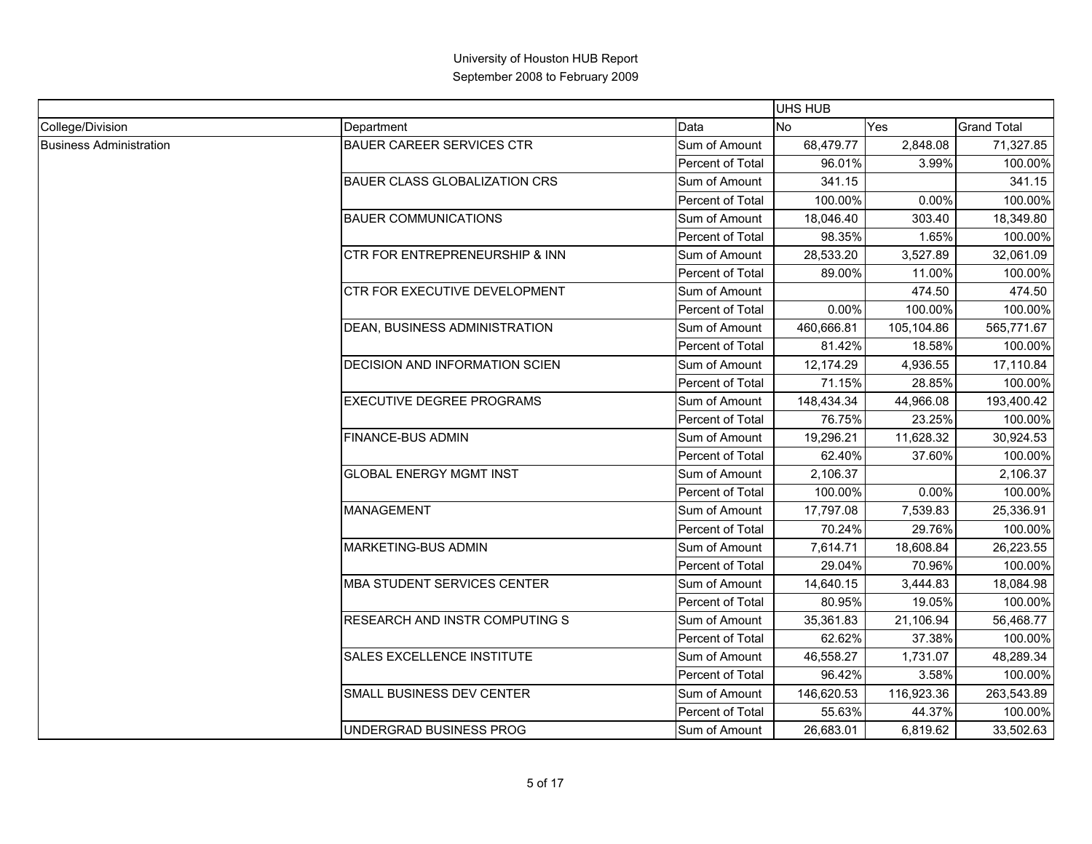|                                |                                       |                  | <b>UHS HUB</b> |            |                    |
|--------------------------------|---------------------------------------|------------------|----------------|------------|--------------------|
| College/Division               | Department                            | Data             | <b>No</b>      | Yes        | <b>Grand Total</b> |
| <b>Business Administration</b> | <b>BAUER CAREER SERVICES CTR</b>      | Sum of Amount    | 68,479.77      | 2,848.08   | 71,327.85          |
|                                |                                       | Percent of Total | 96.01%         | 3.99%      | 100.00%            |
|                                | <b>BAUER CLASS GLOBALIZATION CRS</b>  | Sum of Amount    | 341.15         |            | 341.15             |
|                                |                                       | Percent of Total | 100.00%        | 0.00%      | 100.00%            |
|                                | <b>BAUER COMMUNICATIONS</b>           | Sum of Amount    | 18,046.40      | 303.40     | 18,349.80          |
|                                |                                       | Percent of Total | 98.35%         | 1.65%      | 100.00%            |
|                                | CTR FOR ENTREPRENEURSHIP & INN        | Sum of Amount    | 28,533.20      | 3,527.89   | 32,061.09          |
|                                |                                       | Percent of Total | 89.00%         | 11.00%     | 100.00%            |
|                                | CTR FOR EXECUTIVE DEVELOPMENT         | Sum of Amount    |                | 474.50     | 474.50             |
|                                |                                       | Percent of Total | 0.00%          | 100.00%    | 100.00%            |
|                                | DEAN, BUSINESS ADMINISTRATION         | Sum of Amount    | 460,666.81     | 105,104.86 | 565,771.67         |
|                                |                                       | Percent of Total | 81.42%         | 18.58%     | 100.00%            |
|                                | DECISION AND INFORMATION SCIEN        | Sum of Amount    | 12,174.29      | 4,936.55   | 17,110.84          |
|                                |                                       | Percent of Total | 71.15%         | 28.85%     | 100.00%            |
|                                | <b>EXECUTIVE DEGREE PROGRAMS</b>      | Sum of Amount    | 148,434.34     | 44,966.08  | 193,400.42         |
|                                |                                       | Percent of Total | 76.75%         | 23.25%     | 100.00%            |
|                                | <b>FINANCE-BUS ADMIN</b>              | Sum of Amount    | 19,296.21      | 11,628.32  | 30,924.53          |
|                                |                                       | Percent of Total | 62.40%         | 37.60%     | 100.00%            |
|                                | <b>GLOBAL ENERGY MGMT INST</b>        | Sum of Amount    | 2,106.37       |            | 2,106.37           |
|                                |                                       | Percent of Total | 100.00%        | 0.00%      | 100.00%            |
|                                | <b>MANAGEMENT</b>                     | Sum of Amount    | 17,797.08      | 7,539.83   | 25,336.91          |
|                                |                                       | Percent of Total | 70.24%         | 29.76%     | 100.00%            |
|                                | <b>MARKETING-BUS ADMIN</b>            | Sum of Amount    | 7,614.71       | 18,608.84  | 26,223.55          |
|                                |                                       | Percent of Total | 29.04%         | 70.96%     | 100.00%            |
|                                | MBA STUDENT SERVICES CENTER           | Sum of Amount    | 14,640.15      | 3,444.83   | 18,084.98          |
|                                |                                       | Percent of Total | 80.95%         | 19.05%     | 100.00%            |
|                                | <b>RESEARCH AND INSTR COMPUTING S</b> | Sum of Amount    | 35,361.83      | 21,106.94  | 56,468.77          |
|                                |                                       | Percent of Total | 62.62%         | 37.38%     | 100.00%            |
|                                | SALES EXCELLENCE INSTITUTE            | Sum of Amount    | 46,558.27      | 1,731.07   | 48,289.34          |
|                                |                                       | Percent of Total | 96.42%         | 3.58%      | 100.00%            |
|                                | SMALL BUSINESS DEV CENTER             | Sum of Amount    | 146,620.53     | 116,923.36 | 263,543.89         |
|                                |                                       | Percent of Total | 55.63%         | 44.37%     | 100.00%            |
|                                | UNDERGRAD BUSINESS PROG               | Sum of Amount    | 26,683.01      | 6,819.62   | 33,502.63          |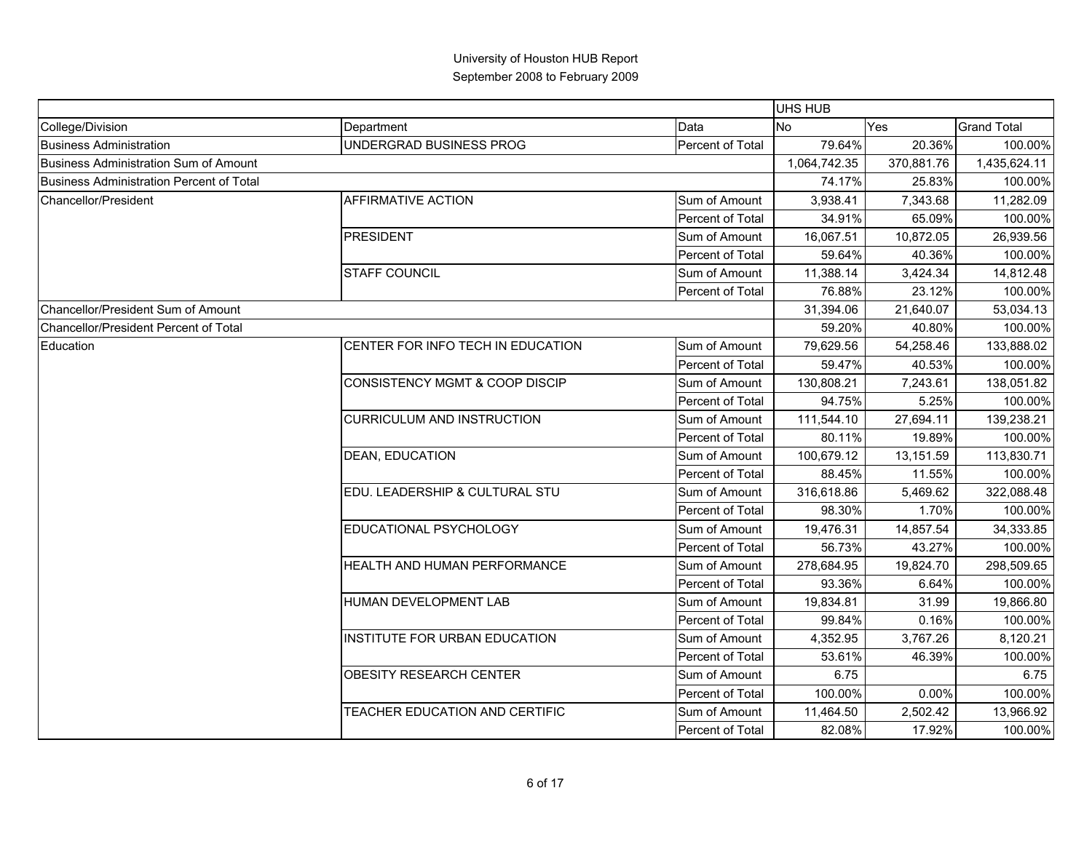|                                                 |                                   |                  | UHS HUB      |            |                    |
|-------------------------------------------------|-----------------------------------|------------------|--------------|------------|--------------------|
| College/Division                                | Department                        | Data             | <b>No</b>    | Yes        | <b>Grand Total</b> |
| <b>Business Administration</b>                  | UNDERGRAD BUSINESS PROG           | Percent of Total | 79.64%       | 20.36%     | 100.00%            |
| <b>Business Administration Sum of Amount</b>    |                                   |                  | 1,064,742.35 | 370,881.76 | 1,435,624.11       |
| <b>Business Administration Percent of Total</b> |                                   |                  | 74.17%       | 25.83%     | 100.00%            |
| <b>Chancellor/President</b>                     | AFFIRMATIVE ACTION                | Sum of Amount    | 3,938.41     | 7,343.68   | 11,282.09          |
|                                                 |                                   | Percent of Total | 34.91%       | 65.09%     | 100.00%            |
|                                                 | PRESIDENT                         | Sum of Amount    | 16,067.51    | 10,872.05  | 26,939.56          |
|                                                 |                                   | Percent of Total | 59.64%       | 40.36%     | 100.00%            |
|                                                 | <b>STAFF COUNCIL</b>              | Sum of Amount    | 11,388.14    | 3,424.34   | 14,812.48          |
|                                                 |                                   | Percent of Total | 76.88%       | 23.12%     | 100.00%            |
| Chancellor/President Sum of Amount              |                                   |                  | 31,394.06    | 21,640.07  | 53,034.13          |
| Chancellor/President Percent of Total           |                                   |                  | 59.20%       | 40.80%     | 100.00%            |
| Education                                       | CENTER FOR INFO TECH IN EDUCATION | Sum of Amount    | 79,629.56    | 54,258.46  | 133,888.02         |
|                                                 |                                   | Percent of Total | 59.47%       | 40.53%     | 100.00%            |
|                                                 | CONSISTENCY MGMT & COOP DISCIP    | Sum of Amount    | 130,808.21   | 7,243.61   | 138,051.82         |
|                                                 |                                   | Percent of Total | 94.75%       | 5.25%      | 100.00%            |
|                                                 | <b>CURRICULUM AND INSTRUCTION</b> | Sum of Amount    | 111,544.10   | 27,694.11  | 139,238.21         |
|                                                 |                                   | Percent of Total | 80.11%       | 19.89%     | 100.00%            |
|                                                 | <b>DEAN, EDUCATION</b>            | Sum of Amount    | 100,679.12   | 13,151.59  | 113,830.71         |
|                                                 |                                   | Percent of Total | 88.45%       | 11.55%     | 100.00%            |
|                                                 | EDU. LEADERSHIP & CULTURAL STU    | Sum of Amount    | 316,618.86   | 5,469.62   | 322,088.48         |
|                                                 |                                   | Percent of Total | 98.30%       | 1.70%      | 100.00%            |
|                                                 | EDUCATIONAL PSYCHOLOGY            | Sum of Amount    | 19,476.31    | 14,857.54  | 34,333.85          |
|                                                 |                                   | Percent of Total | 56.73%       | 43.27%     | 100.00%            |
|                                                 | HEALTH AND HUMAN PERFORMANCE      | Sum of Amount    | 278,684.95   | 19,824.70  | 298,509.65         |
|                                                 |                                   | Percent of Total | 93.36%       | 6.64%      | 100.00%            |
|                                                 | HUMAN DEVELOPMENT LAB             | Sum of Amount    | 19,834.81    | 31.99      | 19,866.80          |
|                                                 |                                   | Percent of Total | 99.84%       | 0.16%      | 100.00%            |
|                                                 | INSTITUTE FOR URBAN EDUCATION     | Sum of Amount    | 4,352.95     | 3,767.26   | 8,120.21           |
|                                                 |                                   | Percent of Total | 53.61%       | 46.39%     | 100.00%            |
|                                                 | <b>OBESITY RESEARCH CENTER</b>    | Sum of Amount    | 6.75         |            | 6.75               |
|                                                 |                                   | Percent of Total | 100.00%      | 0.00%      | 100.00%            |
|                                                 | TEACHER EDUCATION AND CERTIFIC    | Sum of Amount    | 11,464.50    | 2,502.42   | 13,966.92          |
|                                                 |                                   | Percent of Total | 82.08%       | 17.92%     | 100.00%            |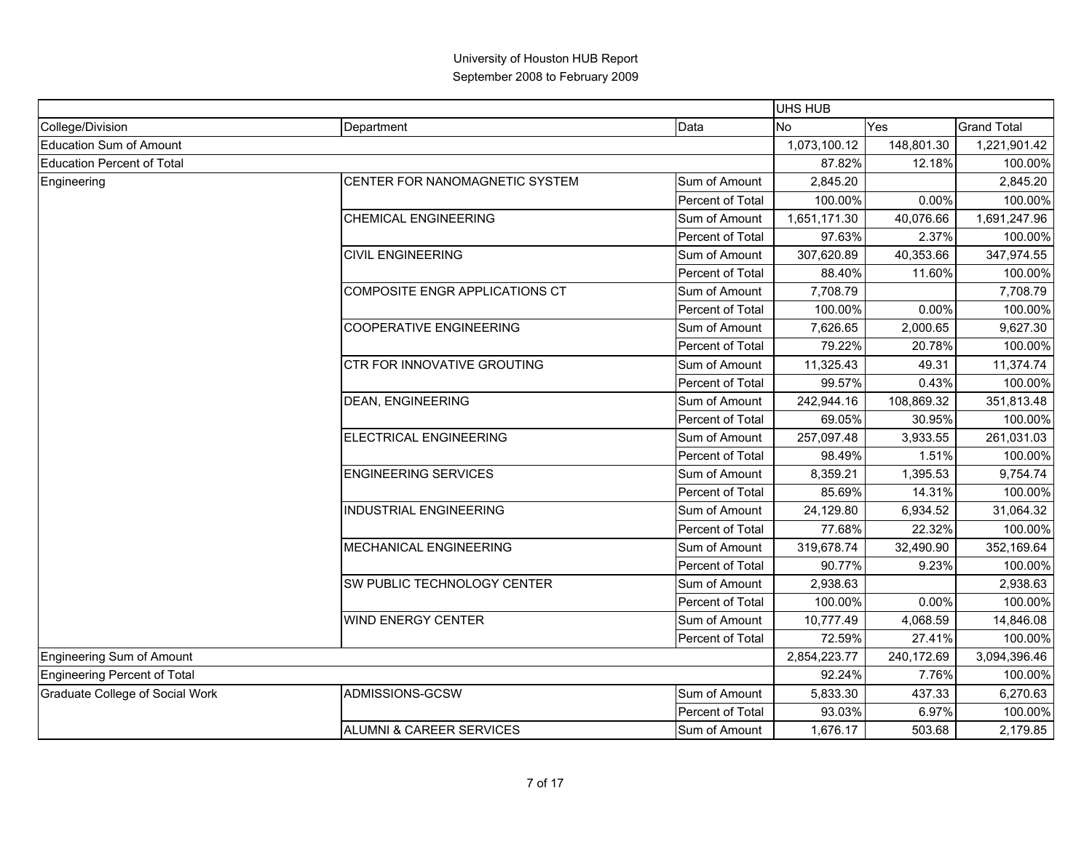|                                     |                                |                  | <b>UHS HUB</b> |            |                    |
|-------------------------------------|--------------------------------|------------------|----------------|------------|--------------------|
| College/Division                    | Department                     | Data             | <b>No</b>      | Yes        | <b>Grand Total</b> |
| <b>Education Sum of Amount</b>      |                                |                  | 1,073,100.12   | 148,801.30 | 1,221,901.42       |
| <b>Education Percent of Total</b>   |                                |                  | 87.82%         | 12.18%     | 100.00%            |
| Engineering                         | CENTER FOR NANOMAGNETIC SYSTEM | Sum of Amount    | 2,845.20       |            | 2,845.20           |
|                                     |                                | Percent of Total | 100.00%        | 0.00%      | 100.00%            |
|                                     | <b>CHEMICAL ENGINEERING</b>    | Sum of Amount    | 1,651,171.30   | 40,076.66  | 1,691,247.96       |
|                                     |                                | Percent of Total | 97.63%         | 2.37%      | 100.00%            |
|                                     | <b>CIVIL ENGINEERING</b>       | Sum of Amount    | 307,620.89     | 40,353.66  | 347,974.55         |
|                                     |                                | Percent of Total | 88.40%         | 11.60%     | 100.00%            |
|                                     | COMPOSITE ENGR APPLICATIONS CT | Sum of Amount    | 7,708.79       |            | 7,708.79           |
|                                     |                                | Percent of Total | 100.00%        | 0.00%      | 100.00%            |
|                                     | <b>COOPERATIVE ENGINEERING</b> | Sum of Amount    | 7,626.65       | 2,000.65   | 9,627.30           |
|                                     |                                | Percent of Total | 79.22%         | 20.78%     | 100.00%            |
|                                     | CTR FOR INNOVATIVE GROUTING    | Sum of Amount    | 11,325.43      | 49.31      | 11,374.74          |
|                                     |                                | Percent of Total | 99.57%         | 0.43%      | 100.00%            |
|                                     | <b>DEAN, ENGINEERING</b>       | Sum of Amount    | 242,944.16     | 108,869.32 | 351,813.48         |
|                                     |                                | Percent of Total | 69.05%         | 30.95%     | 100.00%            |
|                                     | <b>ELECTRICAL ENGINEERING</b>  | Sum of Amount    | 257,097.48     | 3,933.55   | 261,031.03         |
|                                     |                                | Percent of Total | 98.49%         | 1.51%      | 100.00%            |
|                                     | <b>ENGINEERING SERVICES</b>    | Sum of Amount    | 8,359.21       | 1,395.53   | 9,754.74           |
|                                     |                                | Percent of Total | 85.69%         | 14.31%     | 100.00%            |
|                                     | <b>INDUSTRIAL ENGINEERING</b>  | Sum of Amount    | 24,129.80      | 6,934.52   | 31,064.32          |
|                                     |                                | Percent of Total | 77.68%         | 22.32%     | 100.00%            |
|                                     | MECHANICAL ENGINEERING         | Sum of Amount    | 319,678.74     | 32,490.90  | 352,169.64         |
|                                     |                                | Percent of Total | 90.77%         | 9.23%      | 100.00%            |
|                                     | SW PUBLIC TECHNOLOGY CENTER    | Sum of Amount    | 2,938.63       |            | 2,938.63           |
|                                     |                                | Percent of Total | 100.00%        | 0.00%      | 100.00%            |
|                                     | <b>WIND ENERGY CENTER</b>      | Sum of Amount    | 10,777.49      | 4,068.59   | 14,846.08          |
|                                     |                                | Percent of Total | 72.59%         | 27.41%     | 100.00%            |
| Engineering Sum of Amount           |                                |                  | 2,854,223.77   | 240,172.69 | 3,094,396.46       |
| <b>Engineering Percent of Total</b> |                                |                  | 92.24%         | 7.76%      | 100.00%            |
| Graduate College of Social Work     | ADMISSIONS-GCSW                | Sum of Amount    | 5,833.30       | 437.33     | 6,270.63           |
|                                     |                                | Percent of Total | 93.03%         | 6.97%      | 100.00%            |
|                                     | ALUMNI & CAREER SERVICES       | Sum of Amount    | 1,676.17       | 503.68     | 2,179.85           |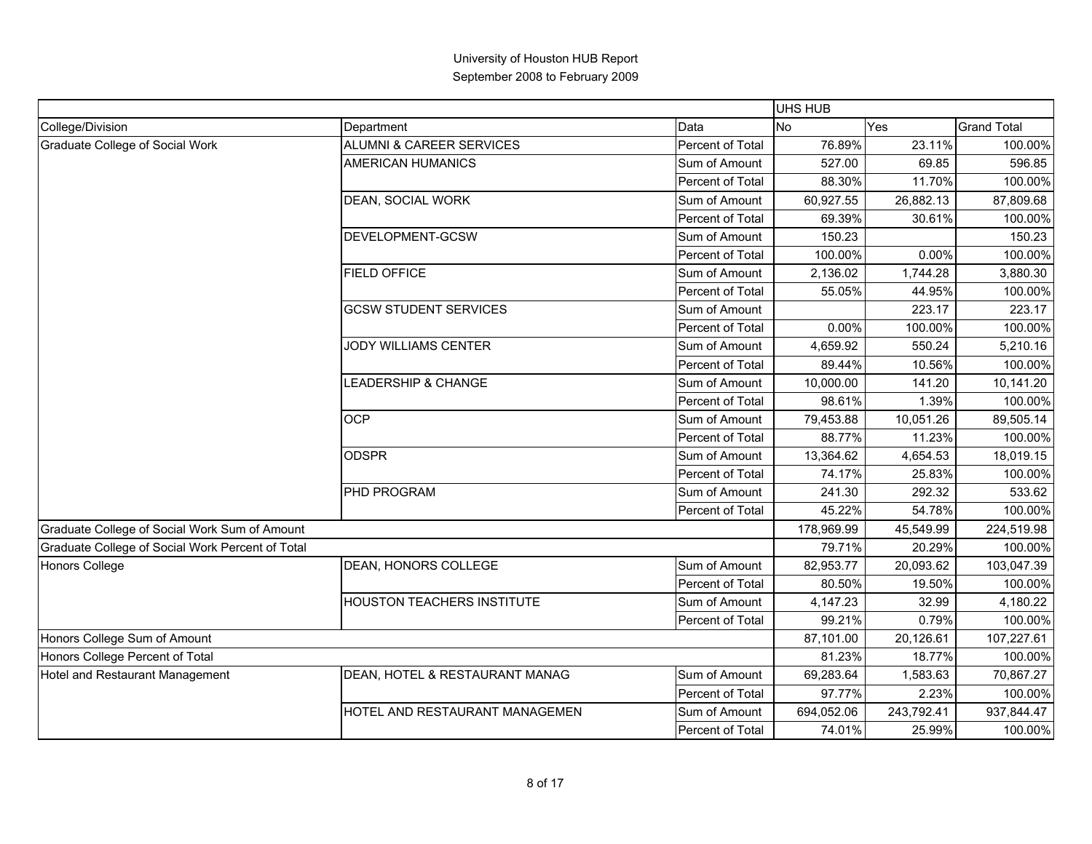|                                                  |                                |                  | UHS HUB    |            |                    |
|--------------------------------------------------|--------------------------------|------------------|------------|------------|--------------------|
| College/Division                                 | Department                     | Data             | <b>No</b>  | Yes        | <b>Grand Total</b> |
| Graduate College of Social Work                  | ALUMNI & CAREER SERVICES       | Percent of Total | 76.89%     | 23.11%     | 100.00%            |
|                                                  | <b>AMERICAN HUMANICS</b>       | Sum of Amount    | 527.00     | 69.85      | 596.85             |
|                                                  |                                | Percent of Total | 88.30%     | 11.70%     | 100.00%            |
|                                                  | DEAN, SOCIAL WORK              | Sum of Amount    | 60,927.55  | 26,882.13  | 87,809.68          |
|                                                  |                                | Percent of Total | 69.39%     | 30.61%     | 100.00%            |
|                                                  | DEVELOPMENT-GCSW               | Sum of Amount    | 150.23     |            | 150.23             |
|                                                  |                                | Percent of Total | 100.00%    | 0.00%      | 100.00%            |
|                                                  | <b>FIELD OFFICE</b>            | Sum of Amount    | 2,136.02   | 1,744.28   | 3,880.30           |
|                                                  |                                | Percent of Total | 55.05%     | 44.95%     | 100.00%            |
|                                                  | <b>GCSW STUDENT SERVICES</b>   | Sum of Amount    |            | 223.17     | 223.17             |
|                                                  |                                | Percent of Total | 0.00%      | 100.00%    | 100.00%            |
|                                                  | JODY WILLIAMS CENTER           | Sum of Amount    | 4,659.92   | 550.24     | 5,210.16           |
|                                                  |                                | Percent of Total | 89.44%     | 10.56%     | 100.00%            |
|                                                  | LEADERSHIP & CHANGE            | Sum of Amount    | 10,000.00  | 141.20     | 10,141.20          |
|                                                  |                                | Percent of Total | 98.61%     | 1.39%      | 100.00%            |
|                                                  | <b>OCP</b>                     | Sum of Amount    | 79,453.88  | 10,051.26  | 89,505.14          |
|                                                  |                                | Percent of Total | 88.77%     | 11.23%     | 100.00%            |
|                                                  | <b>ODSPR</b>                   | Sum of Amount    | 13,364.62  | 4,654.53   | 18,019.15          |
|                                                  |                                | Percent of Total | 74.17%     | 25.83%     | 100.00%            |
|                                                  | PHD PROGRAM                    | Sum of Amount    | 241.30     | 292.32     | 533.62             |
|                                                  |                                | Percent of Total | 45.22%     | 54.78%     | 100.00%            |
| Graduate College of Social Work Sum of Amount    |                                |                  | 178,969.99 | 45,549.99  | 224,519.98         |
| Graduate College of Social Work Percent of Total |                                |                  | 79.71%     | 20.29%     | 100.00%            |
| Honors College                                   | DEAN, HONORS COLLEGE           | Sum of Amount    | 82,953.77  | 20,093.62  | 103,047.39         |
|                                                  |                                | Percent of Total | 80.50%     | 19.50%     | 100.00%            |
|                                                  | HOUSTON TEACHERS INSTITUTE     | Sum of Amount    | 4,147.23   | 32.99      | 4,180.22           |
|                                                  |                                | Percent of Total | 99.21%     | 0.79%      | 100.00%            |
| Honors College Sum of Amount                     |                                |                  | 87,101.00  | 20,126.61  | 107,227.61         |
| Honors College Percent of Total                  |                                |                  | 81.23%     | 18.77%     | 100.00%            |
| Hotel and Restaurant Management                  | DEAN, HOTEL & RESTAURANT MANAG | Sum of Amount    | 69,283.64  | 1,583.63   | 70,867.27          |
|                                                  |                                | Percent of Total | 97.77%     | 2.23%      | 100.00%            |
|                                                  | HOTEL AND RESTAURANT MANAGEMEN | Sum of Amount    | 694,052.06 | 243,792.41 | 937,844.47         |
|                                                  |                                | Percent of Total | 74.01%     | 25.99%     | 100.00%            |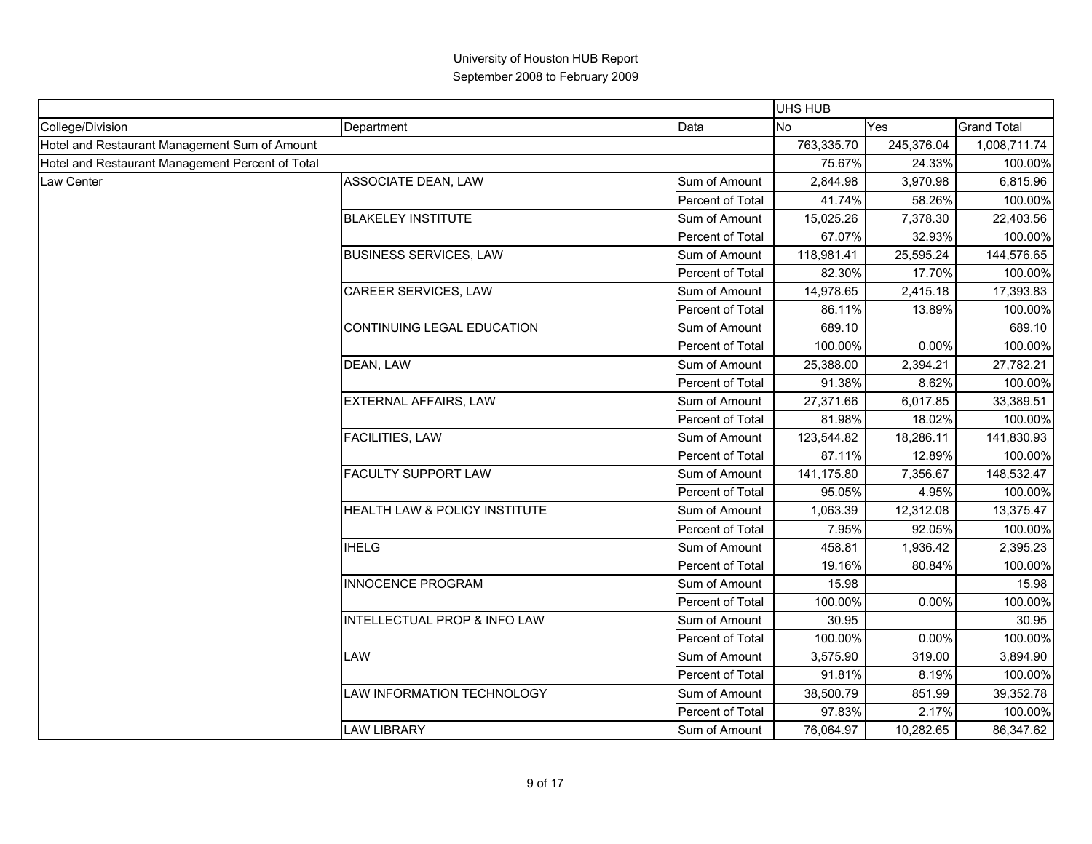|                                                  |                                         |                  | UHS HUB    |            |                    |
|--------------------------------------------------|-----------------------------------------|------------------|------------|------------|--------------------|
| College/Division                                 | Department                              | Data             | <b>No</b>  | Yes        | <b>Grand Total</b> |
| Hotel and Restaurant Management Sum of Amount    |                                         |                  | 763,335.70 | 245,376.04 | 1,008,711.74       |
| Hotel and Restaurant Management Percent of Total |                                         |                  | 75.67%     | 24.33%     | 100.00%            |
| Law Center                                       | ASSOCIATE DEAN, LAW                     | Sum of Amount    | 2,844.98   | 3,970.98   | 6,815.96           |
|                                                  |                                         | Percent of Total | 41.74%     | 58.26%     | 100.00%            |
|                                                  | <b>BLAKELEY INSTITUTE</b>               | Sum of Amount    | 15,025.26  | 7,378.30   | 22,403.56          |
|                                                  |                                         | Percent of Total | 67.07%     | 32.93%     | 100.00%            |
|                                                  | <b>BUSINESS SERVICES, LAW</b>           | Sum of Amount    | 118,981.41 | 25,595.24  | 144,576.65         |
|                                                  |                                         | Percent of Total | 82.30%     | 17.70%     | 100.00%            |
|                                                  | CAREER SERVICES, LAW                    | Sum of Amount    | 14,978.65  | 2,415.18   | 17,393.83          |
|                                                  |                                         | Percent of Total | 86.11%     | 13.89%     | 100.00%            |
|                                                  | CONTINUING LEGAL EDUCATION              | Sum of Amount    | 689.10     |            | 689.10             |
|                                                  |                                         | Percent of Total | 100.00%    | 0.00%      | 100.00%            |
|                                                  | DEAN, LAW                               | Sum of Amount    | 25,388.00  | 2,394.21   | 27,782.21          |
|                                                  |                                         | Percent of Total | 91.38%     | 8.62%      | 100.00%            |
|                                                  | EXTERNAL AFFAIRS, LAW                   | Sum of Amount    | 27,371.66  | 6,017.85   | 33,389.51          |
|                                                  |                                         | Percent of Total | 81.98%     | 18.02%     | 100.00%            |
|                                                  | <b>FACILITIES, LAW</b>                  | Sum of Amount    | 123,544.82 | 18,286.11  | 141,830.93         |
|                                                  |                                         | Percent of Total | 87.11%     | 12.89%     | 100.00%            |
|                                                  | <b>FACULTY SUPPORT LAW</b>              | Sum of Amount    | 141,175.80 | 7,356.67   | 148,532.47         |
|                                                  |                                         | Percent of Total | 95.05%     | 4.95%      | 100.00%            |
|                                                  | HEALTH LAW & POLICY INSTITUTE           | Sum of Amount    | 1,063.39   | 12,312.08  | 13,375.47          |
|                                                  |                                         | Percent of Total | 7.95%      | 92.05%     | 100.00%            |
|                                                  | <b>IHELG</b>                            | Sum of Amount    | 458.81     | 1,936.42   | 2,395.23           |
|                                                  |                                         | Percent of Total | 19.16%     | 80.84%     | 100.00%            |
|                                                  | INNOCENCE PROGRAM                       | Sum of Amount    | 15.98      |            | 15.98              |
|                                                  |                                         | Percent of Total | 100.00%    | 0.00%      | 100.00%            |
|                                                  | <b>INTELLECTUAL PROP &amp; INFO LAW</b> | Sum of Amount    | 30.95      |            | 30.95              |
|                                                  |                                         | Percent of Total | 100.00%    | 0.00%      | 100.00%            |
|                                                  | LAW                                     | Sum of Amount    | 3,575.90   | 319.00     | 3,894.90           |
|                                                  |                                         | Percent of Total | 91.81%     | 8.19%      | 100.00%            |
|                                                  | LAW INFORMATION TECHNOLOGY              | Sum of Amount    | 38,500.79  | 851.99     | 39,352.78          |
|                                                  |                                         | Percent of Total | 97.83%     | 2.17%      | 100.00%            |
|                                                  | <b>LAW LIBRARY</b>                      | Sum of Amount    | 76,064.97  | 10,282.65  | 86,347.62          |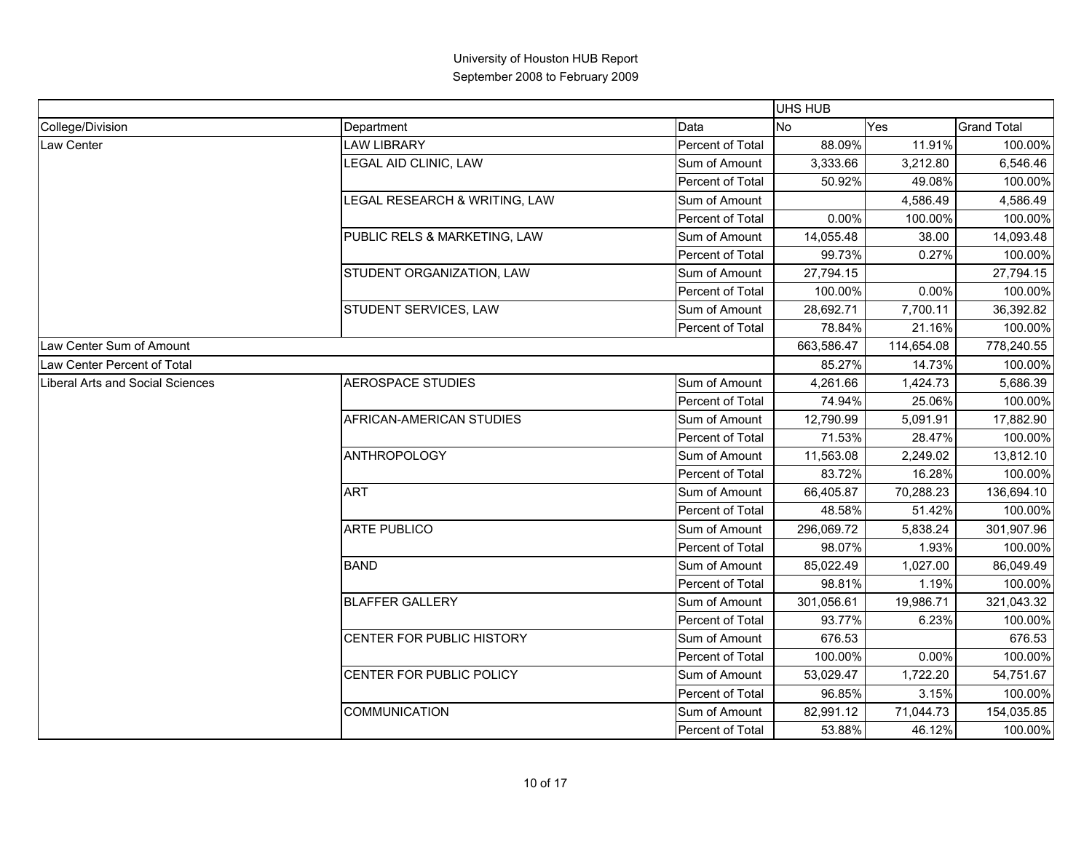|                                  |                               |                  | <b>UHS HUB</b> |            |                    |
|----------------------------------|-------------------------------|------------------|----------------|------------|--------------------|
| College/Division                 | Department                    | Data             | <b>No</b>      | Yes        | <b>Grand Total</b> |
| Law Center                       | <b>LAW LIBRARY</b>            | Percent of Total | 88.09%         | 11.91%     | 100.00%            |
|                                  | LEGAL AID CLINIC, LAW         | Sum of Amount    | 3,333.66       | 3,212.80   | 6,546.46           |
|                                  |                               | Percent of Total | 50.92%         | 49.08%     | 100.00%            |
|                                  | LEGAL RESEARCH & WRITING, LAW | Sum of Amount    |                | 4,586.49   | 4,586.49           |
|                                  |                               | Percent of Total | 0.00%          | 100.00%    | 100.00%            |
|                                  | PUBLIC RELS & MARKETING, LAW  | Sum of Amount    | 14,055.48      | 38.00      | 14,093.48          |
|                                  |                               | Percent of Total | 99.73%         | 0.27%      | 100.00%            |
|                                  | STUDENT ORGANIZATION, LAW     | Sum of Amount    | 27,794.15      |            | 27,794.15          |
|                                  |                               | Percent of Total | 100.00%        | 0.00%      | 100.00%            |
|                                  | STUDENT SERVICES, LAW         | Sum of Amount    | 28,692.71      | 7,700.11   | 36,392.82          |
|                                  |                               | Percent of Total | 78.84%         | 21.16%     | 100.00%            |
| Law Center Sum of Amount         |                               |                  | 663,586.47     | 114,654.08 | 778,240.55         |
| Law Center Percent of Total      |                               |                  | 85.27%         | 14.73%     | 100.00%            |
| Liberal Arts and Social Sciences | <b>AEROSPACE STUDIES</b>      | Sum of Amount    | 4,261.66       | 1,424.73   | 5,686.39           |
|                                  |                               | Percent of Total | 74.94%         | 25.06%     | 100.00%            |
|                                  | AFRICAN-AMERICAN STUDIES      | Sum of Amount    | 12,790.99      | 5,091.91   | 17,882.90          |
|                                  |                               | Percent of Total | 71.53%         | 28.47%     | 100.00%            |
|                                  | <b>ANTHROPOLOGY</b>           | Sum of Amount    | 11,563.08      | 2,249.02   | 13,812.10          |
|                                  |                               | Percent of Total | 83.72%         | 16.28%     | 100.00%            |
|                                  | <b>ART</b>                    | Sum of Amount    | 66,405.87      | 70,288.23  | 136,694.10         |
|                                  |                               | Percent of Total | 48.58%         | 51.42%     | 100.00%            |
|                                  | <b>ARTE PUBLICO</b>           | Sum of Amount    | 296,069.72     | 5,838.24   | 301,907.96         |
|                                  |                               | Percent of Total | 98.07%         | 1.93%      | 100.00%            |
|                                  | <b>BAND</b>                   | Sum of Amount    | 85,022.49      | 1,027.00   | 86,049.49          |
|                                  |                               | Percent of Total | 98.81%         | 1.19%      | 100.00%            |
|                                  | <b>BLAFFER GALLERY</b>        | Sum of Amount    | 301,056.61     | 19,986.71  | 321,043.32         |
|                                  |                               | Percent of Total | 93.77%         | 6.23%      | 100.00%            |
|                                  | CENTER FOR PUBLIC HISTORY     | Sum of Amount    | 676.53         |            | 676.53             |
|                                  |                               | Percent of Total | 100.00%        | 0.00%      | 100.00%            |
|                                  | CENTER FOR PUBLIC POLICY      | Sum of Amount    | 53,029.47      | 1,722.20   | 54,751.67          |
|                                  |                               | Percent of Total | 96.85%         | 3.15%      | 100.00%            |
|                                  | <b>COMMUNICATION</b>          | Sum of Amount    | 82,991.12      | 71,044.73  | 154,035.85         |
|                                  |                               | Percent of Total | 53.88%         | 46.12%     | 100.00%            |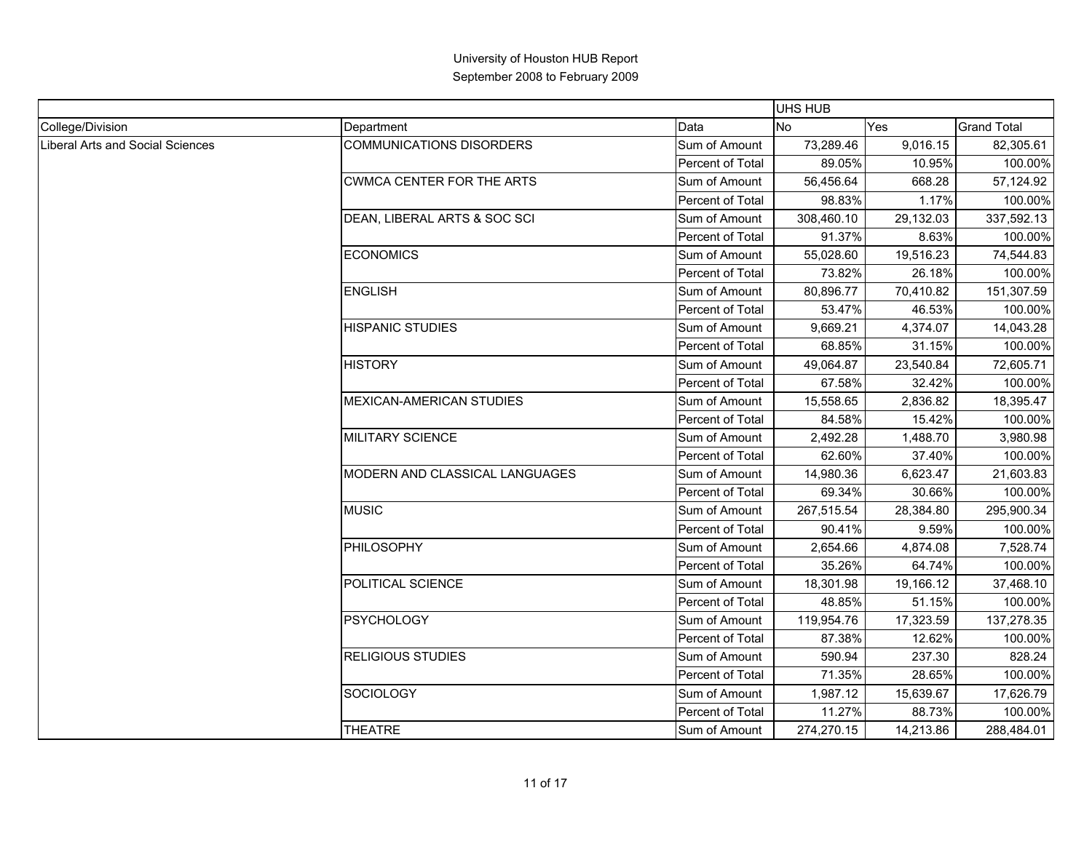|                                  |                                  |                  | <b>UHS HUB</b> |           |                    |
|----------------------------------|----------------------------------|------------------|----------------|-----------|--------------------|
| College/Division                 | Department                       | Data             | <b>No</b>      | Yes       | <b>Grand Total</b> |
| Liberal Arts and Social Sciences | COMMUNICATIONS DISORDERS         | Sum of Amount    | 73,289.46      | 9,016.15  | 82,305.61          |
|                                  |                                  | Percent of Total | 89.05%         | 10.95%    | 100.00%            |
|                                  | <b>CWMCA CENTER FOR THE ARTS</b> | Sum of Amount    | 56,456.64      | 668.28    | 57,124.92          |
|                                  |                                  | Percent of Total | 98.83%         | 1.17%     | 100.00%            |
|                                  | DEAN, LIBERAL ARTS & SOC SCI     | Sum of Amount    | 308,460.10     | 29,132.03 | 337,592.13         |
|                                  |                                  | Percent of Total | 91.37%         | 8.63%     | 100.00%            |
|                                  | <b>ECONOMICS</b>                 | Sum of Amount    | 55,028.60      | 19,516.23 | 74,544.83          |
|                                  |                                  | Percent of Total | 73.82%         | 26.18%    | 100.00%            |
|                                  | <b>ENGLISH</b>                   | Sum of Amount    | 80,896.77      | 70,410.82 | 151,307.59         |
|                                  |                                  | Percent of Total | 53.47%         | 46.53%    | 100.00%            |
|                                  | <b>HISPANIC STUDIES</b>          | Sum of Amount    | 9,669.21       | 4,374.07  | 14,043.28          |
|                                  |                                  | Percent of Total | 68.85%         | 31.15%    | 100.00%            |
|                                  | <b>HISTORY</b>                   | Sum of Amount    | 49,064.87      | 23,540.84 | 72,605.71          |
|                                  |                                  | Percent of Total | 67.58%         | 32.42%    | 100.00%            |
|                                  | <b>MEXICAN-AMERICAN STUDIES</b>  | Sum of Amount    | 15,558.65      | 2,836.82  | 18,395.47          |
|                                  |                                  | Percent of Total | 84.58%         | 15.42%    | 100.00%            |
|                                  | <b>MILITARY SCIENCE</b>          | Sum of Amount    | 2,492.28       | 1,488.70  | 3,980.98           |
|                                  |                                  | Percent of Total | 62.60%         | 37.40%    | 100.00%            |
|                                  | MODERN AND CLASSICAL LANGUAGES   | Sum of Amount    | 14,980.36      | 6,623.47  | 21,603.83          |
|                                  |                                  | Percent of Total | 69.34%         | 30.66%    | 100.00%            |
|                                  | <b>MUSIC</b>                     | Sum of Amount    | 267,515.54     | 28,384.80 | 295,900.34         |
|                                  |                                  | Percent of Total | 90.41%         | 9.59%     | 100.00%            |
|                                  | PHILOSOPHY                       | Sum of Amount    | 2,654.66       | 4,874.08  | 7,528.74           |
|                                  |                                  | Percent of Total | 35.26%         | 64.74%    | 100.00%            |
|                                  | POLITICAL SCIENCE                | Sum of Amount    | 18,301.98      | 19,166.12 | 37,468.10          |
|                                  |                                  | Percent of Total | 48.85%         | 51.15%    | 100.00%            |
|                                  | <b>PSYCHOLOGY</b>                | Sum of Amount    | 119,954.76     | 17,323.59 | 137,278.35         |
|                                  |                                  | Percent of Total | 87.38%         | 12.62%    | 100.00%            |
|                                  | <b>RELIGIOUS STUDIES</b>         | Sum of Amount    | 590.94         | 237.30    | 828.24             |
|                                  |                                  | Percent of Total | 71.35%         | 28.65%    | 100.00%            |
|                                  | SOCIOLOGY                        | Sum of Amount    | 1,987.12       | 15,639.67 | 17,626.79          |
|                                  |                                  | Percent of Total | 11.27%         | 88.73%    | 100.00%            |
|                                  | <b>THEATRE</b>                   | Sum of Amount    | 274,270.15     | 14,213.86 | 288,484.01         |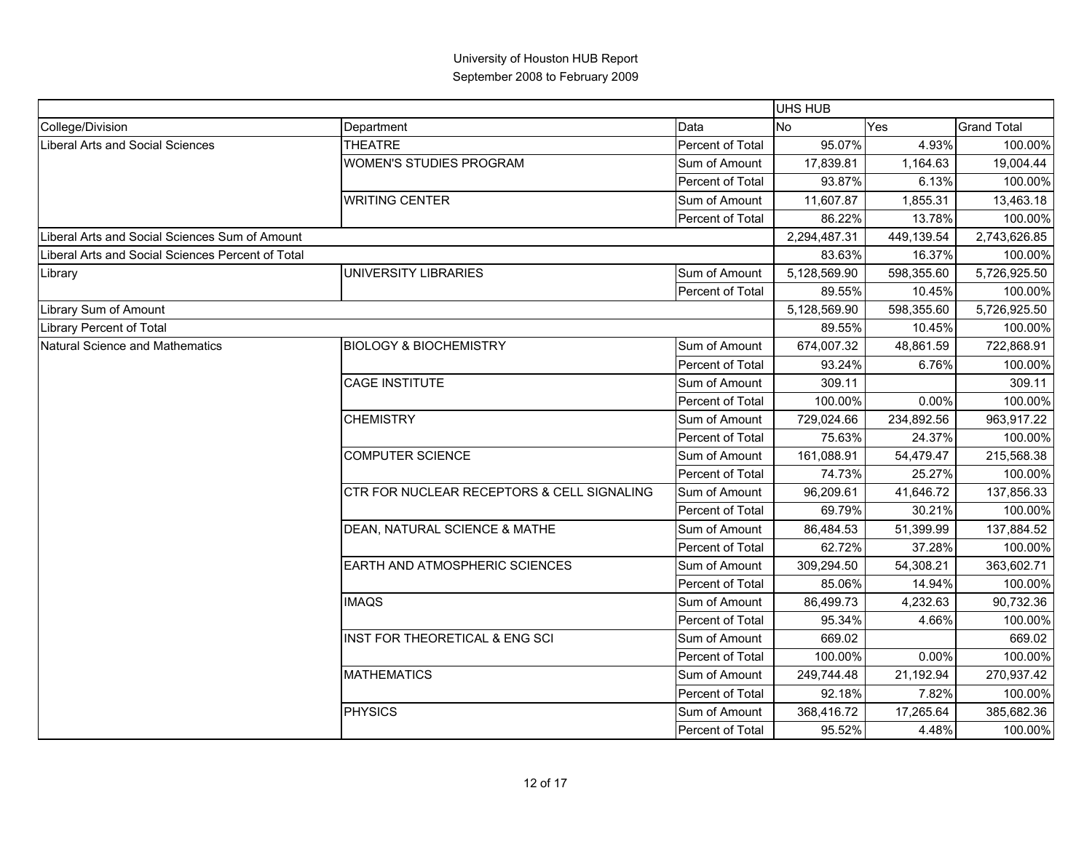|                                                   |                                            |                  | <b>UHS HUB</b> |            |                    |
|---------------------------------------------------|--------------------------------------------|------------------|----------------|------------|--------------------|
| College/Division                                  | Department                                 | Data             | No             | Yes        | <b>Grand Total</b> |
| Liberal Arts and Social Sciences                  | <b>THEATRE</b>                             | Percent of Total | 95.07%         | 4.93%      | 100.00%            |
|                                                   | <b>WOMEN'S STUDIES PROGRAM</b>             | Sum of Amount    | 17,839.81      | 1,164.63   | 19,004.44          |
|                                                   |                                            | Percent of Total | 93.87%         | 6.13%      | 100.00%            |
|                                                   | <b>WRITING CENTER</b>                      | Sum of Amount    | 11,607.87      | 1,855.31   | 13,463.18          |
|                                                   |                                            | Percent of Total | 86.22%         | 13.78%     | 100.00%            |
| Liberal Arts and Social Sciences Sum of Amount    |                                            |                  | 2,294,487.31   | 449,139.54 | 2,743,626.85       |
| Liberal Arts and Social Sciences Percent of Total |                                            |                  | 83.63%         | 16.37%     | 100.00%            |
| Library                                           | UNIVERSITY LIBRARIES                       | Sum of Amount    | 5,128,569.90   | 598,355.60 | 5,726,925.50       |
|                                                   |                                            | Percent of Total | 89.55%         | 10.45%     | 100.00%            |
| Library Sum of Amount                             |                                            |                  | 5,128,569.90   | 598,355.60 | 5,726,925.50       |
| <b>Library Percent of Total</b>                   |                                            |                  | 89.55%         | 10.45%     | 100.00%            |
| Natural Science and Mathematics                   | <b>BIOLOGY &amp; BIOCHEMISTRY</b>          | Sum of Amount    | 674,007.32     | 48,861.59  | 722,868.91         |
|                                                   |                                            | Percent of Total | 93.24%         | 6.76%      | 100.00%            |
|                                                   | <b>CAGE INSTITUTE</b>                      | Sum of Amount    | 309.11         |            | 309.11             |
|                                                   |                                            | Percent of Total | 100.00%        | $0.00\%$   | 100.00%            |
|                                                   | <b>CHEMISTRY</b>                           | Sum of Amount    | 729,024.66     | 234,892.56 | 963,917.22         |
|                                                   |                                            | Percent of Total | 75.63%         | 24.37%     | 100.00%            |
|                                                   | <b>COMPUTER SCIENCE</b>                    | Sum of Amount    | 161,088.91     | 54,479.47  | 215,568.38         |
|                                                   |                                            | Percent of Total | 74.73%         | 25.27%     | 100.00%            |
|                                                   | CTR FOR NUCLEAR RECEPTORS & CELL SIGNALING | Sum of Amount    | 96,209.61      | 41,646.72  | 137,856.33         |
|                                                   |                                            | Percent of Total | 69.79%         | 30.21%     | 100.00%            |
|                                                   | DEAN, NATURAL SCIENCE & MATHE              | Sum of Amount    | 86,484.53      | 51,399.99  | 137,884.52         |
|                                                   |                                            | Percent of Total | 62.72%         | 37.28%     | 100.00%            |
|                                                   | <b>EARTH AND ATMOSPHERIC SCIENCES</b>      | Sum of Amount    | 309,294.50     | 54,308.21  | 363,602.71         |
|                                                   |                                            | Percent of Total | 85.06%         | 14.94%     | 100.00%            |
|                                                   | <b>IMAQS</b>                               | Sum of Amount    | 86,499.73      | 4,232.63   | 90,732.36          |
|                                                   |                                            | Percent of Total | 95.34%         | 4.66%      | 100.00%            |
|                                                   | <b>INST FOR THEORETICAL &amp; ENG SCI</b>  | Sum of Amount    | 669.02         |            | 669.02             |
|                                                   |                                            | Percent of Total | 100.00%        | 0.00%      | 100.00%            |
|                                                   | <b>MATHEMATICS</b>                         | Sum of Amount    | 249,744.48     | 21,192.94  | 270,937.42         |
|                                                   |                                            | Percent of Total | 92.18%         | 7.82%      | 100.00%            |
|                                                   | <b>PHYSICS</b>                             | Sum of Amount    | 368,416.72     | 17,265.64  | 385,682.36         |
|                                                   |                                            | Percent of Total | 95.52%         | 4.48%      | 100.00%            |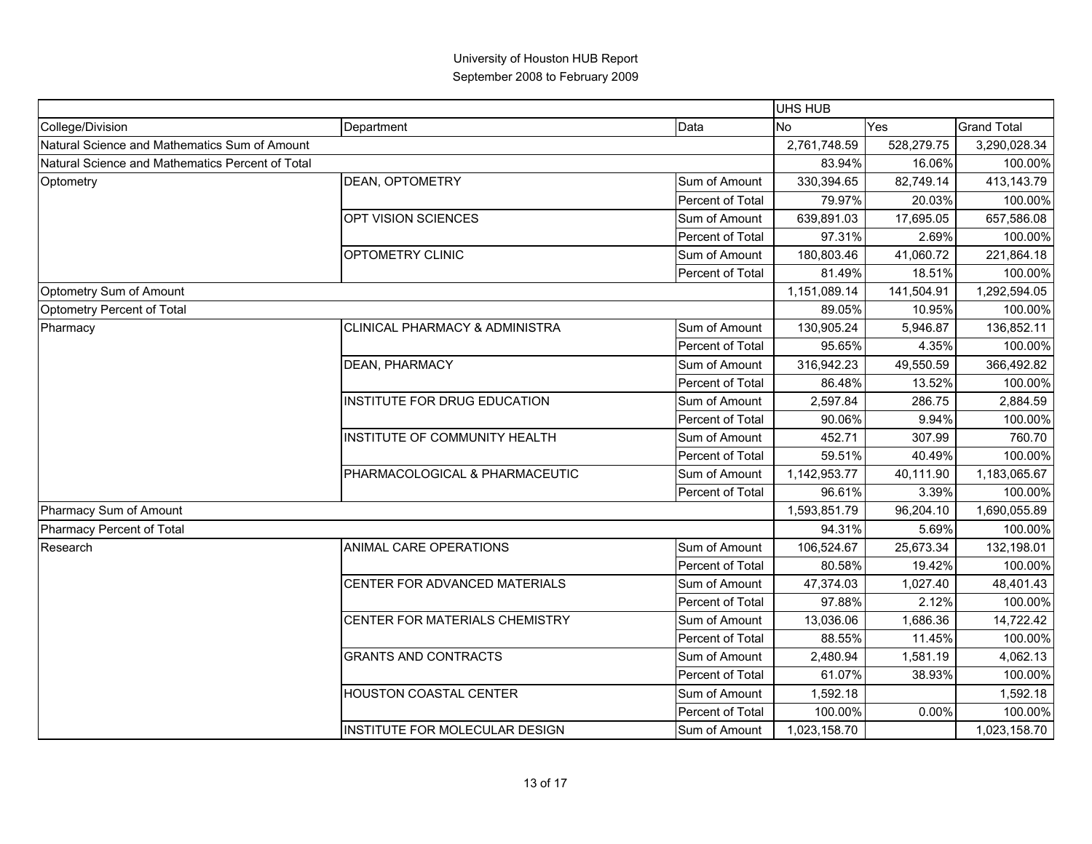|                                                  |                                |                  | UHS HUB      |            |                    |
|--------------------------------------------------|--------------------------------|------------------|--------------|------------|--------------------|
| College/Division                                 | Department                     | Data             | No           | Yes        | <b>Grand Total</b> |
| Natural Science and Mathematics Sum of Amount    |                                |                  | 2,761,748.59 | 528,279.75 | 3,290,028.34       |
| Natural Science and Mathematics Percent of Total |                                |                  | 83.94%       | 16.06%     | 100.00%            |
| Optometry                                        | DEAN, OPTOMETRY                | Sum of Amount    | 330,394.65   | 82,749.14  | 413,143.79         |
|                                                  |                                | Percent of Total | 79.97%       | 20.03%     | 100.00%            |
|                                                  | OPT VISION SCIENCES            | Sum of Amount    | 639,891.03   | 17,695.05  | 657,586.08         |
|                                                  |                                | Percent of Total | 97.31%       | 2.69%      | 100.00%            |
|                                                  | OPTOMETRY CLINIC               | Sum of Amount    | 180,803.46   | 41,060.72  | 221,864.18         |
|                                                  |                                | Percent of Total | 81.49%       | 18.51%     | 100.00%            |
| Optometry Sum of Amount                          |                                |                  | 1,151,089.14 | 141,504.91 | 1,292,594.05       |
| Optometry Percent of Total                       |                                |                  | 89.05%       | 10.95%     | 100.00%            |
| Pharmacy                                         | CLINICAL PHARMACY & ADMINISTRA | Sum of Amount    | 130,905.24   | 5,946.87   | 136,852.11         |
|                                                  |                                | Percent of Total | 95.65%       | 4.35%      | 100.00%            |
|                                                  | DEAN, PHARMACY                 | Sum of Amount    | 316,942.23   | 49,550.59  | 366,492.82         |
|                                                  |                                | Percent of Total | 86.48%       | 13.52%     | 100.00%            |
|                                                  | INSTITUTE FOR DRUG EDUCATION   | Sum of Amount    | 2,597.84     | 286.75     | 2,884.59           |
|                                                  |                                | Percent of Total | 90.06%       | 9.94%      | 100.00%            |
|                                                  | INSTITUTE OF COMMUNITY HEALTH  | Sum of Amount    | 452.71       | 307.99     | 760.70             |
|                                                  |                                | Percent of Total | 59.51%       | 40.49%     | 100.00%            |
|                                                  | PHARMACOLOGICAL & PHARMACEUTIC | Sum of Amount    | 1,142,953.77 | 40,111.90  | 1,183,065.67       |
|                                                  |                                | Percent of Total | 96.61%       | 3.39%      | 100.00%            |
| Pharmacy Sum of Amount                           |                                |                  | 1,593,851.79 | 96,204.10  | 1,690,055.89       |
| <b>Pharmacy Percent of Total</b>                 |                                |                  | 94.31%       | 5.69%      | 100.00%            |
| Research                                         | ANIMAL CARE OPERATIONS         | Sum of Amount    | 106,524.67   | 25,673.34  | 132,198.01         |
|                                                  |                                | Percent of Total | 80.58%       | 19.42%     | 100.00%            |
|                                                  | CENTER FOR ADVANCED MATERIALS  | Sum of Amount    | 47,374.03    | 1,027.40   | 48,401.43          |
|                                                  |                                | Percent of Total | 97.88%       | 2.12%      | 100.00%            |
|                                                  | CENTER FOR MATERIALS CHEMISTRY | Sum of Amount    | 13,036.06    | 1,686.36   | 14,722.42          |
|                                                  |                                | Percent of Total | 88.55%       | 11.45%     | 100.00%            |
|                                                  | <b>GRANTS AND CONTRACTS</b>    | Sum of Amount    | 2,480.94     | 1,581.19   | 4,062.13           |
|                                                  |                                | Percent of Total | 61.07%       | 38.93%     | 100.00%            |
|                                                  | HOUSTON COASTAL CENTER         | Sum of Amount    | 1,592.18     |            | 1,592.18           |
|                                                  |                                | Percent of Total | 100.00%      | 0.00%      | 100.00%            |
|                                                  | INSTITUTE FOR MOLECULAR DESIGN | Sum of Amount    | 1,023,158.70 |            | 1,023,158.70       |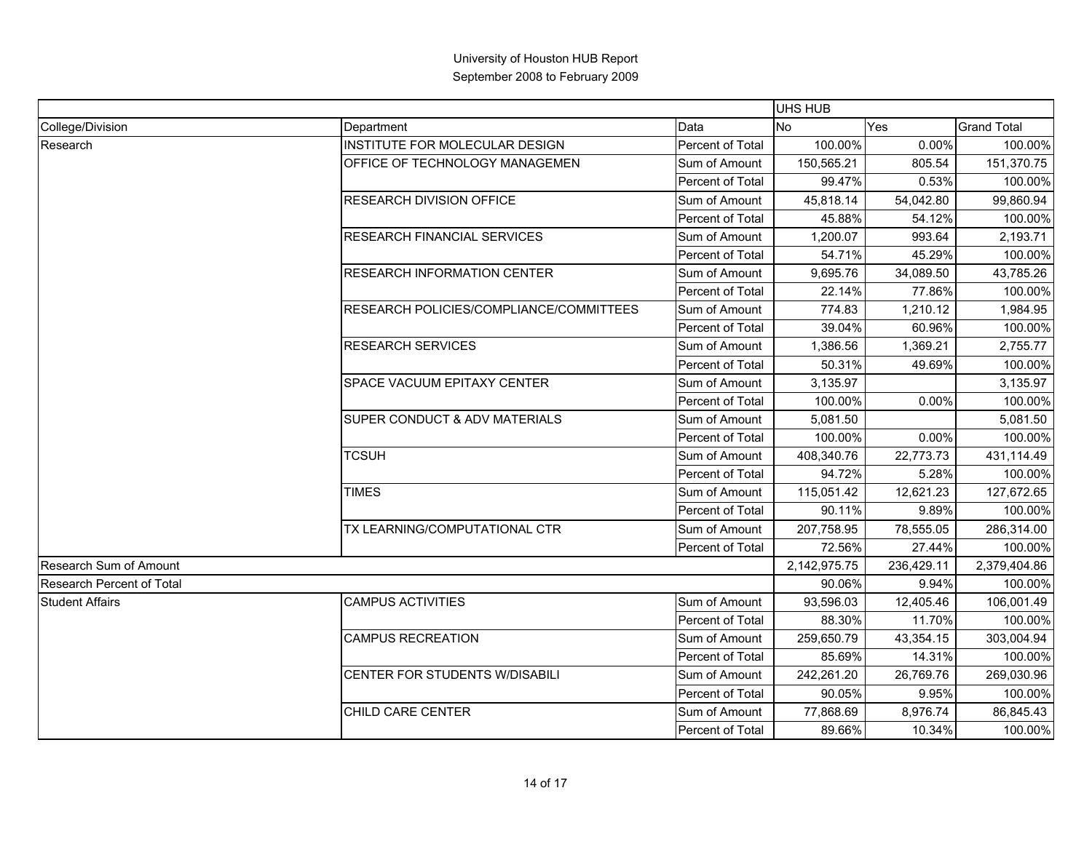|                                  |                                                                                          |                  | UHS HUB        |            |                    |
|----------------------------------|------------------------------------------------------------------------------------------|------------------|----------------|------------|--------------------|
| College/Division                 | Department                                                                               | Data             | N <sub>o</sub> | Yes        | <b>Grand Total</b> |
| Research                         | INSTITUTE FOR MOLECULAR DESIGN                                                           | Percent of Total | 100.00%        | 0.00%      | 100.00%            |
|                                  | OFFICE OF TECHNOLOGY MANAGEMEN                                                           | Sum of Amount    | 150,565.21     | 805.54     | 151,370.75         |
|                                  |                                                                                          | Percent of Total | 99.47%         | 0.53%      | 100.00%            |
|                                  | <b>RESEARCH DIVISION OFFICE</b>                                                          | Sum of Amount    | 45,818.14      | 54,042.80  | 99,860.94          |
|                                  |                                                                                          | Percent of Total | 45.88%         | 54.12%     | 100.00%            |
|                                  | <b>RESEARCH FINANCIAL SERVICES</b>                                                       | Sum of Amount    | 1,200.07       | 993.64     | 2,193.71           |
|                                  |                                                                                          | Percent of Total | 54.71%         | 45.29%     | 100.00%            |
|                                  | <b>RESEARCH INFORMATION CENTER</b>                                                       | Sum of Amount    | 9,695.76       | 34,089.50  | 43,785.26          |
|                                  |                                                                                          | Percent of Total | 22.14%         | 77.86%     | 100.00%            |
|                                  | RESEARCH POLICIES/COMPLIANCE/COMMITTEES                                                  | Sum of Amount    | 774.83         | 1,210.12   | 1,984.95           |
|                                  |                                                                                          | Percent of Total | 39.04%         | 60.96%     | 100.00%            |
|                                  | <b>RESEARCH SERVICES</b><br>SPACE VACUUM EPITAXY CENTER<br>SUPER CONDUCT & ADV MATERIALS | Sum of Amount    | 1,386.56       | 1,369.21   | 2,755.77           |
|                                  |                                                                                          | Percent of Total | 50.31%         | 49.69%     | 100.00%            |
|                                  |                                                                                          | Sum of Amount    | 3,135.97       |            | 3,135.97           |
|                                  |                                                                                          | Percent of Total | 100.00%        | 0.00%      | 100.00%            |
|                                  |                                                                                          | Sum of Amount    | 5,081.50       |            | 5,081.50           |
|                                  |                                                                                          | Percent of Total | 100.00%        | 0.00%      | 100.00%            |
|                                  | <b>TCSUH</b>                                                                             | Sum of Amount    | 408,340.76     | 22,773.73  | 431,114.49         |
|                                  |                                                                                          | Percent of Total | 94.72%         | 5.28%      | 100.00%            |
|                                  | <b>TIMES</b>                                                                             | Sum of Amount    | 115,051.42     | 12,621.23  | 127,672.65         |
|                                  |                                                                                          | Percent of Total | 90.11%         | 9.89%      | 100.00%            |
|                                  | TX LEARNING/COMPUTATIONAL CTR                                                            | Sum of Amount    | 207,758.95     | 78,555.05  | 286,314.00         |
|                                  |                                                                                          | Percent of Total | 72.56%         | 27.44%     | 100.00%            |
| Research Sum of Amount           |                                                                                          |                  | 2,142,975.75   | 236,429.11 | 2,379,404.86       |
| <b>Research Percent of Total</b> |                                                                                          |                  | 90.06%         | 9.94%      | 100.00%            |
| <b>Student Affairs</b>           | <b>CAMPUS ACTIVITIES</b>                                                                 | Sum of Amount    | 93,596.03      | 12,405.46  | 106,001.49         |
|                                  |                                                                                          | Percent of Total | 88.30%         | 11.70%     | 100.00%            |
|                                  | <b>CAMPUS RECREATION</b>                                                                 | Sum of Amount    | 259,650.79     | 43,354.15  | 303,004.94         |
|                                  |                                                                                          | Percent of Total | 85.69%         | 14.31%     | 100.00%            |
|                                  | CENTER FOR STUDENTS W/DISABILI                                                           | Sum of Amount    | 242,261.20     | 26,769.76  | 269,030.96         |
|                                  |                                                                                          | Percent of Total | 90.05%         | 9.95%      | 100.00%            |
|                                  | CHILD CARE CENTER                                                                        | Sum of Amount    | 77,868.69      | 8,976.74   | 86,845.43          |
|                                  |                                                                                          | Percent of Total | 89.66%         | 10.34%     | 100.00%            |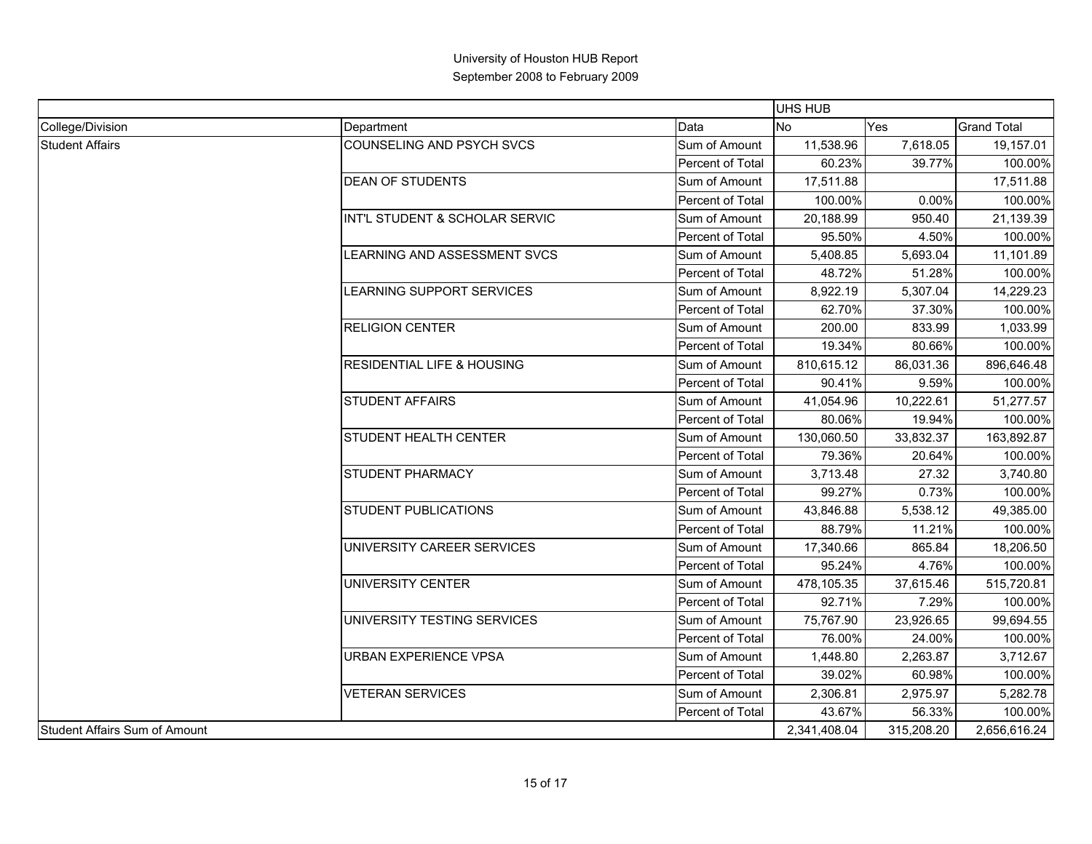|                                      |                                       |                  | UHS HUB        |              |                                                                                                                                                                                                                                                                                                                                                                                                                                   |
|--------------------------------------|---------------------------------------|------------------|----------------|--------------|-----------------------------------------------------------------------------------------------------------------------------------------------------------------------------------------------------------------------------------------------------------------------------------------------------------------------------------------------------------------------------------------------------------------------------------|
| College/Division                     | Department                            | Data             | N <sub>o</sub> | Yes          | <b>Grand Total</b>                                                                                                                                                                                                                                                                                                                                                                                                                |
| <b>Student Affairs</b>               | COUNSELING AND PSYCH SVCS             | Sum of Amount    | 11,538.96      | 7,618.05     | 19,157.01                                                                                                                                                                                                                                                                                                                                                                                                                         |
|                                      |                                       | Percent of Total | 60.23%         | 39.77%       |                                                                                                                                                                                                                                                                                                                                                                                                                                   |
|                                      | <b>DEAN OF STUDENTS</b>               | Sum of Amount    | 17,511.88      |              | 17,511.88                                                                                                                                                                                                                                                                                                                                                                                                                         |
|                                      |                                       | Percent of Total | 100.00%        | 0.00%        |                                                                                                                                                                                                                                                                                                                                                                                                                                   |
|                                      | INT'L STUDENT & SCHOLAR SERVIC        | Sum of Amount    | 20,188.99      | 950.40       | 21,139.39                                                                                                                                                                                                                                                                                                                                                                                                                         |
|                                      |                                       | Percent of Total | 95.50%         | 4.50%        |                                                                                                                                                                                                                                                                                                                                                                                                                                   |
|                                      | LEARNING AND ASSESSMENT SVCS          | Sum of Amount    | 5,408.85       | 5,693.04     | 11,101.89                                                                                                                                                                                                                                                                                                                                                                                                                         |
|                                      |                                       | Percent of Total | 48.72%         | 51.28%       |                                                                                                                                                                                                                                                                                                                                                                                                                                   |
|                                      | LEARNING SUPPORT SERVICES             | Sum of Amount    | 8,922.19       | 5,307.04     | 14,229.23                                                                                                                                                                                                                                                                                                                                                                                                                         |
|                                      |                                       | Percent of Total | 62.70%         | 37.30%       |                                                                                                                                                                                                                                                                                                                                                                                                                                   |
|                                      | <b>RELIGION CENTER</b>                | Sum of Amount    | 200.00         | 833.99       | 1,033.99                                                                                                                                                                                                                                                                                                                                                                                                                          |
|                                      |                                       | Percent of Total | 19.34%         | 80.66%       |                                                                                                                                                                                                                                                                                                                                                                                                                                   |
|                                      | <b>RESIDENTIAL LIFE &amp; HOUSING</b> | Sum of Amount    | 810,615.12     | 86,031.36    | 100.00%<br>100.00%<br>100.00%<br>100.00%<br>100.00%<br>100.00%<br>896,646.48<br>9.59%<br>100.00%<br>51,277.57<br>100.00%<br>19.94%<br>163,892.87<br>100.00%<br>20.64%<br>27.32<br>3,740.80<br>0.73%<br>100.00%<br>49,385.00<br>11.21%<br>100.00%<br>865.84<br>18,206.50<br>4.76%<br>100.00%<br>515,720.81<br>7.29%<br>100.00%<br>99,694.55<br>24.00%<br>100.00%<br>3,712.67<br>60.98%<br>100.00%<br>5,282.78<br>56.33%<br>100.00% |
|                                      |                                       | Percent of Total | 90.41%         |              |                                                                                                                                                                                                                                                                                                                                                                                                                                   |
|                                      | <b>STUDENT AFFAIRS</b>                | Sum of Amount    | 41,054.96      | 10,222.61    |                                                                                                                                                                                                                                                                                                                                                                                                                                   |
|                                      |                                       | Percent of Total | 80.06%         |              |                                                                                                                                                                                                                                                                                                                                                                                                                                   |
|                                      | STUDENT HEALTH CENTER                 | Sum of Amount    | 130,060.50     | 33,832.37    |                                                                                                                                                                                                                                                                                                                                                                                                                                   |
|                                      |                                       | Percent of Total | 79.36%         |              |                                                                                                                                                                                                                                                                                                                                                                                                                                   |
|                                      | <b>STUDENT PHARMACY</b>               | Sum of Amount    | 3,713.48       |              |                                                                                                                                                                                                                                                                                                                                                                                                                                   |
|                                      |                                       | Percent of Total | 99.27%         |              |                                                                                                                                                                                                                                                                                                                                                                                                                                   |
|                                      | <b>STUDENT PUBLICATIONS</b>           | Sum of Amount    | 43,846.88      | 5,538.12     |                                                                                                                                                                                                                                                                                                                                                                                                                                   |
|                                      |                                       | Percent of Total | 88.79%         |              |                                                                                                                                                                                                                                                                                                                                                                                                                                   |
|                                      | UNIVERSITY CAREER SERVICES            | Sum of Amount    | 17,340.66      |              |                                                                                                                                                                                                                                                                                                                                                                                                                                   |
|                                      |                                       | Percent of Total | 95.24%         |              |                                                                                                                                                                                                                                                                                                                                                                                                                                   |
|                                      | UNIVERSITY CENTER                     | Sum of Amount    | 478,105.35     | 37,615.46    |                                                                                                                                                                                                                                                                                                                                                                                                                                   |
|                                      |                                       | Percent of Total | 92.71%         |              |                                                                                                                                                                                                                                                                                                                                                                                                                                   |
|                                      | UNIVERSITY TESTING SERVICES           | Sum of Amount    | 75,767.90      | 23,926.65    |                                                                                                                                                                                                                                                                                                                                                                                                                                   |
|                                      |                                       | Percent of Total | 76.00%         |              |                                                                                                                                                                                                                                                                                                                                                                                                                                   |
|                                      | <b>URBAN EXPERIENCE VPSA</b>          | Sum of Amount    | 1,448.80       | 2,263.87     |                                                                                                                                                                                                                                                                                                                                                                                                                                   |
|                                      |                                       | Percent of Total | 39.02%         |              |                                                                                                                                                                                                                                                                                                                                                                                                                                   |
|                                      | <b>VETERAN SERVICES</b>               | Sum of Amount    | 2,306.81       | 2,975.97     |                                                                                                                                                                                                                                                                                                                                                                                                                                   |
|                                      |                                       | Percent of Total | 43.67%         |              |                                                                                                                                                                                                                                                                                                                                                                                                                                   |
| <b>Student Affairs Sum of Amount</b> |                                       | 2,341,408.04     | 315,208.20     | 2,656,616.24 |                                                                                                                                                                                                                                                                                                                                                                                                                                   |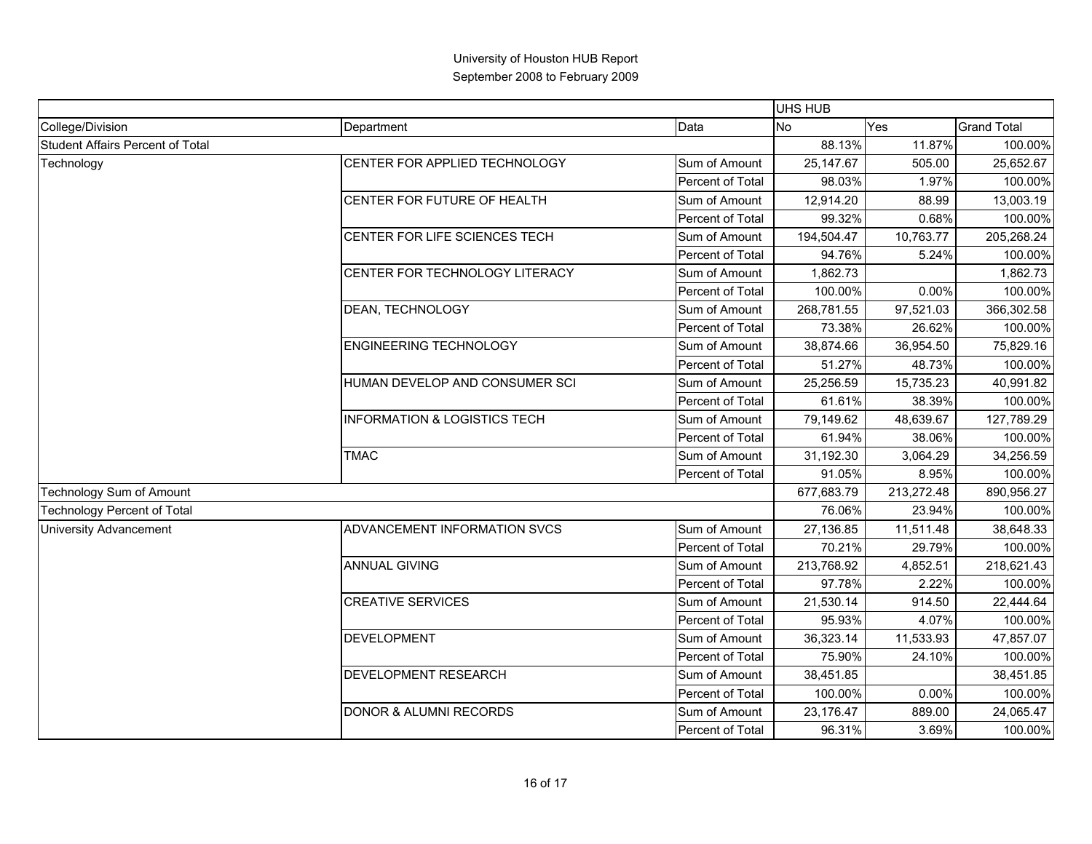|                                         |                                         |                  | <b>UHS HUB</b> |            |                                                                                                                                                                               |
|-----------------------------------------|-----------------------------------------|------------------|----------------|------------|-------------------------------------------------------------------------------------------------------------------------------------------------------------------------------|
| College/Division                        | Department                              | Data             | <b>No</b>      | Yes        | <b>Grand Total</b>                                                                                                                                                            |
| <b>Student Affairs Percent of Total</b> |                                         |                  | 88.13%         | 11.87%     | 100.00%                                                                                                                                                                       |
| Technology                              | CENTER FOR APPLIED TECHNOLOGY           | Sum of Amount    | 25,147.67      | 505.00     | 25,652.67                                                                                                                                                                     |
|                                         |                                         | Percent of Total | 98.03%         | 1.97%      | 100.00%                                                                                                                                                                       |
|                                         | CENTER FOR FUTURE OF HEALTH             | Sum of Amount    | 12,914.20      | 88.99      | 13,003.19                                                                                                                                                                     |
|                                         |                                         | Percent of Total | 99.32%         | 0.68%      | 100.00%                                                                                                                                                                       |
|                                         | CENTER FOR LIFE SCIENCES TECH           | Sum of Amount    | 194,504.47     | 10,763.77  | 205,268.24                                                                                                                                                                    |
|                                         |                                         | Percent of Total | 94.76%         | 5.24%      | 100.00%                                                                                                                                                                       |
|                                         | CENTER FOR TECHNOLOGY LITERACY          | Sum of Amount    | 1,862.73       |            | 1,862.73                                                                                                                                                                      |
|                                         |                                         | Percent of Total | 100.00%        | 0.00%      | 100.00%                                                                                                                                                                       |
|                                         | DEAN, TECHNOLOGY                        | Sum of Amount    | 268,781.55     | 97,521.03  | 366,302.58                                                                                                                                                                    |
|                                         |                                         | Percent of Total | 73.38%         | 26.62%     | 100.00%                                                                                                                                                                       |
|                                         | <b>ENGINEERING TECHNOLOGY</b>           | Sum of Amount    | 38,874.66      | 36,954.50  | 75,829.16                                                                                                                                                                     |
|                                         |                                         | Percent of Total | 51.27%         | 48.73%     | 100.00%<br>40,991.82<br>127,789.29<br>100.00%<br>34,256.59<br>890,956.27<br>38,648.33<br>218,621.43<br>100.00%<br>22,444.64<br>47,857.07<br>100.00%<br>38,451.85<br>24,065.47 |
|                                         | HUMAN DEVELOP AND CONSUMER SCI          | Sum of Amount    | 25,256.59      | 15,735.23  |                                                                                                                                                                               |
|                                         |                                         | Percent of Total | 61.61%         | 38.39%     | 100.00%                                                                                                                                                                       |
|                                         | <b>INFORMATION &amp; LOGISTICS TECH</b> | Sum of Amount    | 79,149.62      | 48,639.67  |                                                                                                                                                                               |
|                                         |                                         | Percent of Total | 61.94%         | 38.06%     |                                                                                                                                                                               |
|                                         | <b>TMAC</b>                             | Sum of Amount    | 31,192.30      | 3,064.29   |                                                                                                                                                                               |
|                                         |                                         | Percent of Total | 91.05%         | 8.95%      | 100.00%                                                                                                                                                                       |
| Technology Sum of Amount                |                                         |                  | 677,683.79     | 213,272.48 |                                                                                                                                                                               |
| <b>Technology Percent of Total</b>      |                                         |                  | 76.06%         | 23.94%     | 100.00%                                                                                                                                                                       |
| University Advancement                  | ADVANCEMENT INFORMATION SVCS            | Sum of Amount    | 27,136.85      | 11,511.48  |                                                                                                                                                                               |
|                                         |                                         | Percent of Total | 70.21%         | 29.79%     | 100.00%                                                                                                                                                                       |
|                                         | <b>ANNUAL GIVING</b>                    | Sum of Amount    | 213,768.92     | 4,852.51   |                                                                                                                                                                               |
|                                         |                                         | Percent of Total | 97.78%         | 2.22%      |                                                                                                                                                                               |
|                                         | <b>CREATIVE SERVICES</b>                | Sum of Amount    | 21,530.14      | 914.50     |                                                                                                                                                                               |
|                                         |                                         | Percent of Total | 95.93%         | 4.07%      | 100.00%                                                                                                                                                                       |
|                                         | <b>DEVELOPMENT</b>                      | Sum of Amount    | 36,323.14      | 11,533.93  |                                                                                                                                                                               |
|                                         |                                         | Percent of Total | 75.90%         | 24.10%     |                                                                                                                                                                               |
|                                         | DEVELOPMENT RESEARCH                    | Sum of Amount    | 38,451.85      |            |                                                                                                                                                                               |
|                                         |                                         | Percent of Total | 100.00%        | 0.00%      | 100.00%                                                                                                                                                                       |
|                                         | DONOR & ALUMNI RECORDS                  | Sum of Amount    | 23,176.47      | 889.00     |                                                                                                                                                                               |
|                                         |                                         | Percent of Total | 96.31%         | 3.69%      | 100.00%                                                                                                                                                                       |